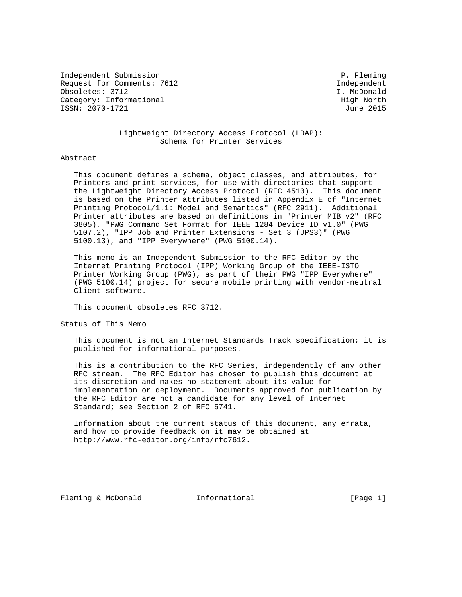Independent Submission **P. Fleming** Request for Comments: 7612 and the comments of the comments of the control of the control of the control of the control of the control of the control of the control of the control of the control of the control of the contr Obsoletes: 3712 I. McDonald Category: Informational example of the control of the High North ISSN: 2070-1721 June 2015

# Lightweight Directory Access Protocol (LDAP): Schema for Printer Services

#### Abstract

 This document defines a schema, object classes, and attributes, for Printers and print services, for use with directories that support the Lightweight Directory Access Protocol (RFC 4510). This document is based on the Printer attributes listed in Appendix E of "Internet Printing Protocol/1.1: Model and Semantics" (RFC 2911). Additional Printer attributes are based on definitions in "Printer MIB v2" (RFC 3805), "PWG Command Set Format for IEEE 1284 Device ID v1.0" (PWG 5107.2), "IPP Job and Printer Extensions - Set 3 (JPS3)" (PWG 5100.13), and "IPP Everywhere" (PWG 5100.14).

 This memo is an Independent Submission to the RFC Editor by the Internet Printing Protocol (IPP) Working Group of the IEEE-ISTO Printer Working Group (PWG), as part of their PWG "IPP Everywhere" (PWG 5100.14) project for secure mobile printing with vendor-neutral Client software.

This document obsoletes RFC 3712.

Status of This Memo

 This document is not an Internet Standards Track specification; it is published for informational purposes.

 This is a contribution to the RFC Series, independently of any other RFC stream. The RFC Editor has chosen to publish this document at its discretion and makes no statement about its value for implementation or deployment. Documents approved for publication by the RFC Editor are not a candidate for any level of Internet Standard; see Section 2 of RFC 5741.

 Information about the current status of this document, any errata, and how to provide feedback on it may be obtained at http://www.rfc-editor.org/info/rfc7612.

Fleming & McDonald **Informational Informational** [Page 1]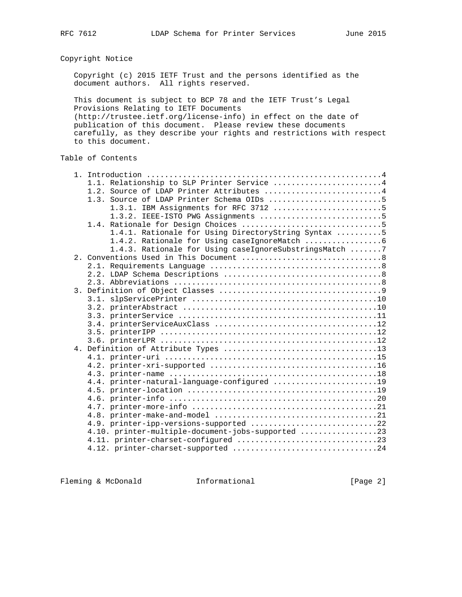Copyright Notice

 Copyright (c) 2015 IETF Trust and the persons identified as the document authors. All rights reserved.

 This document is subject to BCP 78 and the IETF Trust's Legal Provisions Relating to IETF Documents (http://trustee.ietf.org/license-info) in effect on the date of publication of this document. Please review these documents carefully, as they describe your rights and restrictions with respect to this document.

# Table of Contents

|  | 1.1. Relationship to SLP Printer Service 4             |
|--|--------------------------------------------------------|
|  | 1.2. Source of LDAP Printer Attributes 4               |
|  | 1.3. Source of LDAP Printer Schema OIDs 5              |
|  | 1.3.1. IBM Assignments for RFC 3712 5                  |
|  |                                                        |
|  |                                                        |
|  | 1.4.1. Rationale for Using DirectoryString Syntax 5    |
|  |                                                        |
|  | 1.4.3. Rationale for Using caseIgnoreSubstringsMatch 7 |
|  |                                                        |
|  |                                                        |
|  |                                                        |
|  |                                                        |
|  |                                                        |
|  |                                                        |
|  |                                                        |
|  |                                                        |
|  |                                                        |
|  |                                                        |
|  |                                                        |
|  |                                                        |
|  |                                                        |
|  |                                                        |
|  |                                                        |
|  | 4.4. printer-natural-language-configured 19            |
|  |                                                        |
|  |                                                        |
|  |                                                        |
|  |                                                        |
|  | 4.9. printer-ipp-versions-supported 22                 |
|  | 4.10. printer-multiple-document-jobs-supported 23      |
|  |                                                        |
|  |                                                        |
|  |                                                        |

Fleming & McDonald **Informational** [Page 2]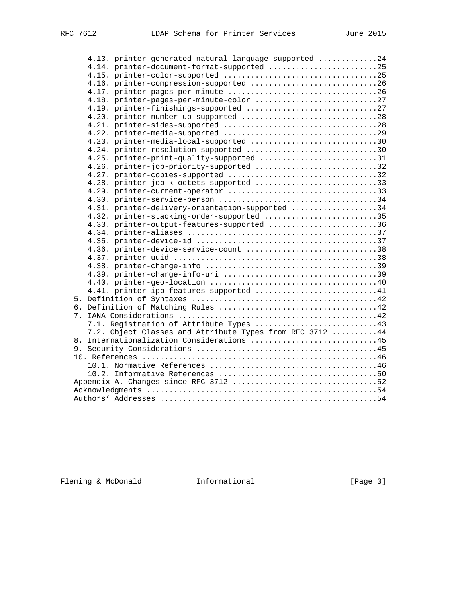|  | 4.13. printer-generated-natural-language-supported 24     |
|--|-----------------------------------------------------------|
|  | 4.14. printer-document-format-supported 25                |
|  |                                                           |
|  | 4.16. printer-compression-supported 26                    |
|  |                                                           |
|  |                                                           |
|  |                                                           |
|  | 4.20. printer-number-up-supported 28                      |
|  |                                                           |
|  |                                                           |
|  | 4.23. printer-media-local-supported 30                    |
|  | 4.24. printer-resolution-supported 30                     |
|  | 4.25. printer-print-quality-supported 31                  |
|  | 4.26. printer-job-priority-supported 32                   |
|  | 4.27. printer-copies-supported 32                         |
|  | 4.28. printer-job-k-octets-supported 33                   |
|  | 4.29. printer-current-operator 33                         |
|  |                                                           |
|  | 4.31. printer-delivery-orientation-supported 34           |
|  | 4.32. printer-stacking-order-supported 35                 |
|  | 4.33. printer-output-features-supported 36                |
|  |                                                           |
|  |                                                           |
|  | 4.36. printer-device-service-count 38                     |
|  |                                                           |
|  |                                                           |
|  |                                                           |
|  |                                                           |
|  | 4.41. printer-ipp-features-supported 41                   |
|  |                                                           |
|  |                                                           |
|  |                                                           |
|  | 7.1. Registration of Attribute Types 43                   |
|  | 7.2. Object Classes and Attribute Types from RFC 3712  44 |
|  | 8. Internationalization Considerations 45                 |
|  |                                                           |
|  |                                                           |
|  |                                                           |
|  |                                                           |
|  |                                                           |
|  |                                                           |
|  |                                                           |

Fleming & McDonald **Informational** [Page 3]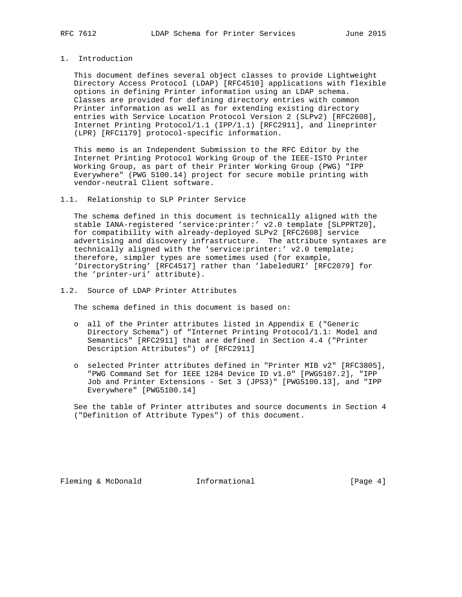# 1. Introduction

 This document defines several object classes to provide Lightweight Directory Access Protocol (LDAP) [RFC4510] applications with flexible options in defining Printer information using an LDAP schema. Classes are provided for defining directory entries with common Printer information as well as for extending existing directory entries with Service Location Protocol Version 2 (SLPv2) [RFC2608], Internet Printing Protocol/1.1 (IPP/1.1) [RFC2911], and lineprinter (LPR) [RFC1179] protocol-specific information.

 This memo is an Independent Submission to the RFC Editor by the Internet Printing Protocol Working Group of the IEEE-ISTO Printer Working Group, as part of their Printer Working Group (PWG) "IPP Everywhere" (PWG 5100.14) project for secure mobile printing with vendor-neutral Client software.

#### 1.1. Relationship to SLP Printer Service

 The schema defined in this document is technically aligned with the stable IANA-registered 'service:printer:' v2.0 template [SLPPRT20], for compatibility with already-deployed SLPv2 [RFC2608] service advertising and discovery infrastructure. The attribute syntaxes are technically aligned with the 'service:printer:' v2.0 template; therefore, simpler types are sometimes used (for example, 'DirectoryString' [RFC4517] rather than 'labeledURI' [RFC2079] for the 'printer-uri' attribute).

1.2. Source of LDAP Printer Attributes

The schema defined in this document is based on:

- o all of the Printer attributes listed in Appendix E ("Generic Directory Schema") of "Internet Printing Protocol/1.1: Model and Semantics" [RFC2911] that are defined in Section 4.4 ("Printer Description Attributes") of [RFC2911]
- o selected Printer attributes defined in "Printer MIB v2" [RFC3805], "PWG Command Set for IEEE 1284 Device ID v1.0" [PWG5107.2], "IPP Job and Printer Extensions - Set 3 (JPS3)" [PWG5100.13], and "IPP Everywhere" [PWG5100.14]

 See the table of Printer attributes and source documents in Section 4 ("Definition of Attribute Types") of this document.

Fleming & McDonald **Informational** [Page 4]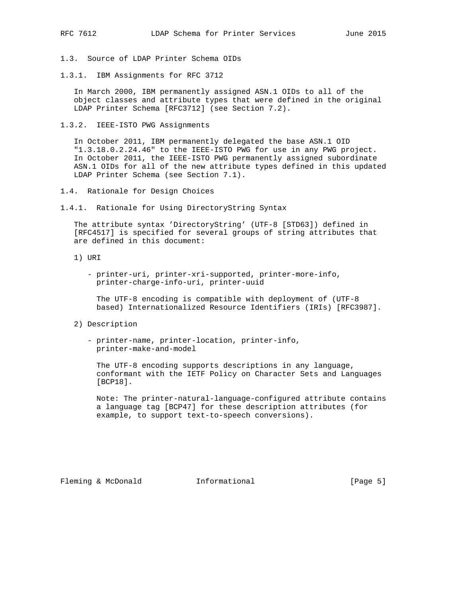- 1.3. Source of LDAP Printer Schema OIDs
- 1.3.1. IBM Assignments for RFC 3712

 In March 2000, IBM permanently assigned ASN.1 OIDs to all of the object classes and attribute types that were defined in the original LDAP Printer Schema [RFC3712] (see Section 7.2).

1.3.2. IEEE-ISTO PWG Assignments

 In October 2011, IBM permanently delegated the base ASN.1 OID "1.3.18.0.2.24.46" to the IEEE-ISTO PWG for use in any PWG project. In October 2011, the IEEE-ISTO PWG permanently assigned subordinate ASN.1 OIDs for all of the new attribute types defined in this updated LDAP Printer Schema (see Section 7.1).

- 1.4. Rationale for Design Choices
- 1.4.1. Rationale for Using DirectoryString Syntax

 The attribute syntax 'DirectoryString' (UTF-8 [STD63]) defined in [RFC4517] is specified for several groups of string attributes that are defined in this document:

- 1) URI
	- printer-uri, printer-xri-supported, printer-more-info, printer-charge-info-uri, printer-uuid

 The UTF-8 encoding is compatible with deployment of (UTF-8 based) Internationalized Resource Identifiers (IRIs) [RFC3987].

- 2) Description
	- printer-name, printer-location, printer-info, printer-make-and-model

 The UTF-8 encoding supports descriptions in any language, conformant with the IETF Policy on Character Sets and Languages [BCP18].

 Note: The printer-natural-language-configured attribute contains a language tag [BCP47] for these description attributes (for example, to support text-to-speech conversions).

Fleming & McDonald **Informational** [Page 5]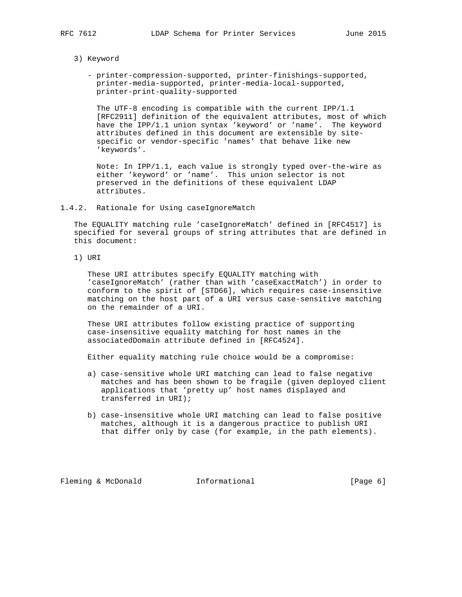- 3) Keyword
	- printer-compression-supported, printer-finishings-supported, printer-media-supported, printer-media-local-supported, printer-print-quality-supported

 The UTF-8 encoding is compatible with the current IPP/1.1 [RFC2911] definition of the equivalent attributes, most of which have the IPP/1.1 union syntax 'keyword' or 'name'. The keyword attributes defined in this document are extensible by site specific or vendor-specific 'names' that behave like new 'keywords'.

 Note: In IPP/1.1, each value is strongly typed over-the-wire as either 'keyword' or 'name'. This union selector is not preserved in the definitions of these equivalent LDAP attributes.

#### 1.4.2. Rationale for Using caseIgnoreMatch

 The EQUALITY matching rule 'caseIgnoreMatch' defined in [RFC4517] is specified for several groups of string attributes that are defined in this document:

1) URI

 These URI attributes specify EQUALITY matching with 'caseIgnoreMatch' (rather than with 'caseExactMatch') in order to conform to the spirit of [STD66], which requires case-insensitive matching on the host part of a URI versus case-sensitive matching on the remainder of a URI.

 These URI attributes follow existing practice of supporting case-insensitive equality matching for host names in the associatedDomain attribute defined in [RFC4524].

Either equality matching rule choice would be a compromise:

- a) case-sensitive whole URI matching can lead to false negative matches and has been shown to be fragile (given deployed client applications that 'pretty up' host names displayed and transferred in URI);
- b) case-insensitive whole URI matching can lead to false positive matches, although it is a dangerous practice to publish URI that differ only by case (for example, in the path elements).

Fleming & McDonald **Informational Informational** [Page 6]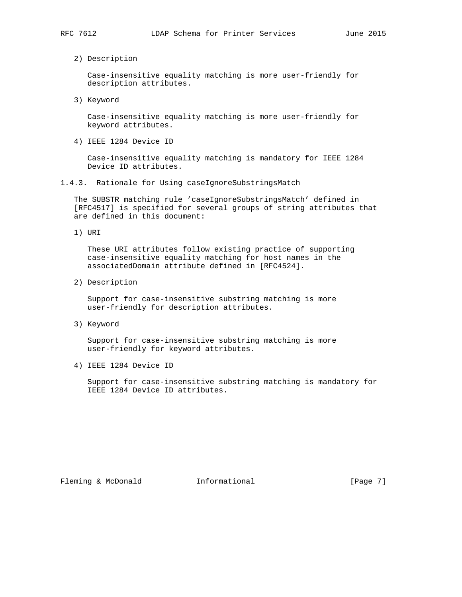2) Description

 Case-insensitive equality matching is more user-friendly for description attributes.

3) Keyword

 Case-insensitive equality matching is more user-friendly for keyword attributes.

4) IEEE 1284 Device ID

 Case-insensitive equality matching is mandatory for IEEE 1284 Device ID attributes.

1.4.3. Rationale for Using caseIgnoreSubstringsMatch

 The SUBSTR matching rule 'caseIgnoreSubstringsMatch' defined in [RFC4517] is specified for several groups of string attributes that are defined in this document:

1) URI

 These URI attributes follow existing practice of supporting case-insensitive equality matching for host names in the associatedDomain attribute defined in [RFC4524].

2) Description

 Support for case-insensitive substring matching is more user-friendly for description attributes.

3) Keyword

 Support for case-insensitive substring matching is more user-friendly for keyword attributes.

4) IEEE 1284 Device ID

 Support for case-insensitive substring matching is mandatory for IEEE 1284 Device ID attributes.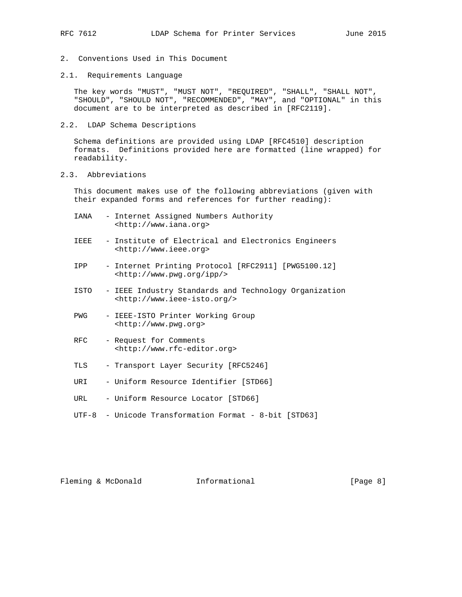- 2. Conventions Used in This Document
- 2.1. Requirements Language

 The key words "MUST", "MUST NOT", "REQUIRED", "SHALL", "SHALL NOT", "SHOULD", "SHOULD NOT", "RECOMMENDED", "MAY", and "OPTIONAL" in this document are to be interpreted as described in [RFC2119].

2.2. LDAP Schema Descriptions

 Schema definitions are provided using LDAP [RFC4510] description formats. Definitions provided here are formatted (line wrapped) for readability.

2.3. Abbreviations

 This document makes use of the following abbreviations (given with their expanded forms and references for further reading):

- IANA Internet Assigned Numbers Authority <http://www.iana.org>
- IEEE Institute of Electrical and Electronics Engineers <http://www.ieee.org>
- IPP Internet Printing Protocol [RFC2911] [PWG5100.12] <http://www.pwg.org/ipp/>
- ISTO IEEE Industry Standards and Technology Organization <http://www.ieee-isto.org/>
- PWG IEEE-ISTO Printer Working Group <http://www.pwg.org>
- RFC Request for Comments <http://www.rfc-editor.org>
- TLS Transport Layer Security [RFC5246]
- URI Uniform Resource Identifier [STD66]
- URL Uniform Resource Locator [STD66]
- UTF-8 Unicode Transformation Format 8-bit [STD63]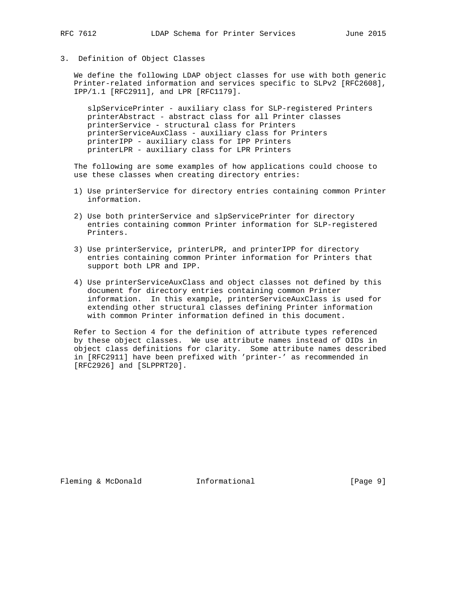# 3. Definition of Object Classes

 We define the following LDAP object classes for use with both generic Printer-related information and services specific to SLPv2 [RFC2608], IPP/1.1 [RFC2911], and LPR [RFC1179].

 slpServicePrinter - auxiliary class for SLP-registered Printers printerAbstract - abstract class for all Printer classes printerService - structural class for Printers printerServiceAuxClass - auxiliary class for Printers printerIPP - auxiliary class for IPP Printers printerLPR - auxiliary class for LPR Printers

 The following are some examples of how applications could choose to use these classes when creating directory entries:

- 1) Use printerService for directory entries containing common Printer information.
- 2) Use both printerService and slpServicePrinter for directory entries containing common Printer information for SLP-registered Printers.
- 3) Use printerService, printerLPR, and printerIPP for directory entries containing common Printer information for Printers that support both LPR and IPP.
- 4) Use printerServiceAuxClass and object classes not defined by this document for directory entries containing common Printer information. In this example, printerServiceAuxClass is used for extending other structural classes defining Printer information with common Printer information defined in this document.

 Refer to Section 4 for the definition of attribute types referenced by these object classes. We use attribute names instead of OIDs in object class definitions for clarity. Some attribute names described in [RFC2911] have been prefixed with 'printer-' as recommended in [RFC2926] and [SLPPRT20].

Fleming & McDonald **Informational Informational** [Page 9]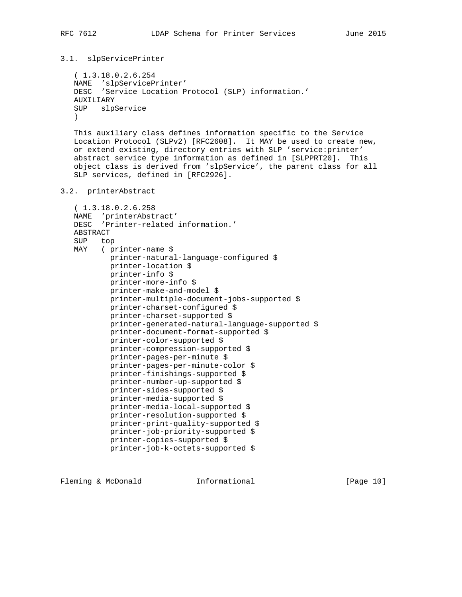```
3.1. slpServicePrinter
```

```
 ( 1.3.18.0.2.6.254
 NAME 'slpServicePrinter'
 DESC 'Service Location Protocol (SLP) information.'
 AUXILIARY
 SUP slpService
)
```
 This auxiliary class defines information specific to the Service Location Protocol (SLPv2) [RFC2608]. It MAY be used to create new, or extend existing, directory entries with SLP 'service:printer' abstract service type information as defined in [SLPPRT20]. This object class is derived from 'slpService', the parent class for all SLP services, defined in [RFC2926].

```
3.2. printerAbstract
```

```
 ( 1.3.18.0.2.6.258
 NAME 'printerAbstract'
 DESC 'Printer-related information.'
 ABSTRACT
 SUP top
 MAY ( printer-name $
         printer-natural-language-configured $
         printer-location $
         printer-info $
         printer-more-info $
         printer-make-and-model $
         printer-multiple-document-jobs-supported $
         printer-charset-configured $
         printer-charset-supported $
         printer-generated-natural-language-supported $
         printer-document-format-supported $
         printer-color-supported $
         printer-compression-supported $
         printer-pages-per-minute $
         printer-pages-per-minute-color $
         printer-finishings-supported $
         printer-number-up-supported $
         printer-sides-supported $
         printer-media-supported $
         printer-media-local-supported $
         printer-resolution-supported $
         printer-print-quality-supported $
         printer-job-priority-supported $
         printer-copies-supported $
         printer-job-k-octets-supported $
```
Fleming & McDonald **Informational** [Page 10]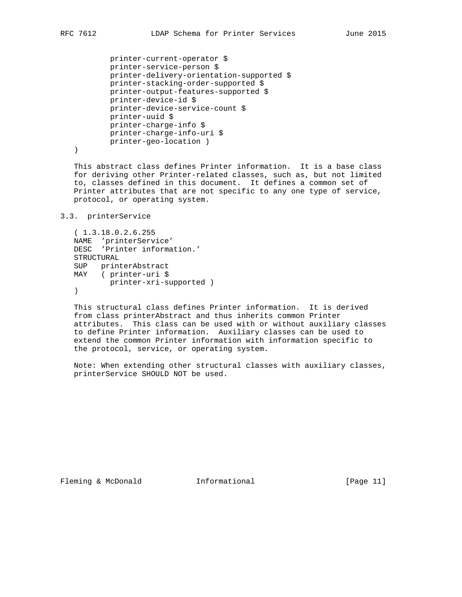```
 printer-current-operator $
 printer-service-person $
 printer-delivery-orientation-supported $
 printer-stacking-order-supported $
 printer-output-features-supported $
 printer-device-id $
 printer-device-service-count $
 printer-uuid $
 printer-charge-info $
 printer-charge-info-uri $
 printer-geo-location )
```
)

 This abstract class defines Printer information. It is a base class for deriving other Printer-related classes, such as, but not limited to, classes defined in this document. It defines a common set of Printer attributes that are not specific to any one type of service, protocol, or operating system.

# 3.3. printerService

```
 ( 1.3.18.0.2.6.255
   NAME 'printerService'
   DESC 'Printer information.'
   STRUCTURAL
 SUP printerAbstract
 MAY ( printer-uri $
         printer-xri-supported )
   )
```
 This structural class defines Printer information. It is derived from class printerAbstract and thus inherits common Printer attributes. This class can be used with or without auxiliary classes to define Printer information. Auxiliary classes can be used to extend the common Printer information with information specific to the protocol, service, or operating system.

 Note: When extending other structural classes with auxiliary classes, printerService SHOULD NOT be used.

Fleming & McDonald **Informational** [Page 11]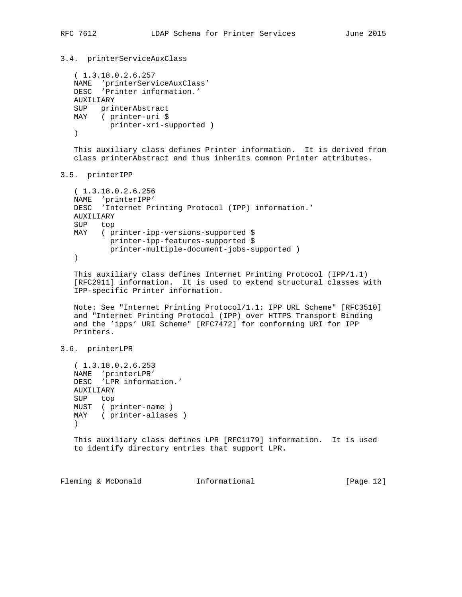3.4. printerServiceAuxClass

```
 ( 1.3.18.0.2.6.257
 NAME 'printerServiceAuxClass'
 DESC 'Printer information.'
 AUXILIARY
 SUP printerAbstract
 MAY ( printer-uri $
      printer-xri-supported )
 )
```
 This auxiliary class defines Printer information. It is derived from class printerAbstract and thus inherits common Printer attributes.

## 3.5. printerIPP

```
 ( 1.3.18.0.2.6.256
 NAME 'printerIPP'
 DESC 'Internet Printing Protocol (IPP) information.'
 AUXILIARY
 SUP top
 MAY ( printer-ipp-versions-supported $
         printer-ipp-features-supported $
         printer-multiple-document-jobs-supported )
 )
```
 This auxiliary class defines Internet Printing Protocol (IPP/1.1) [RFC2911] information. It is used to extend structural classes with IPP-specific Printer information.

 Note: See "Internet Printing Protocol/1.1: IPP URL Scheme" [RFC3510] and "Internet Printing Protocol (IPP) over HTTPS Transport Binding and the 'ipps' URI Scheme" [RFC7472] for conforming URI for IPP Printers.

3.6. printerLPR

 ( 1.3.18.0.2.6.253 NAME 'printerLPR' DESC 'LPR information.' AUXILIARY SUP top MUST ( printer-name ) MAY ( printer-aliases )  $\left( \right)$ 

 This auxiliary class defines LPR [RFC1179] information. It is used to identify directory entries that support LPR.

Fleming & McDonald **Informational** [Page 12]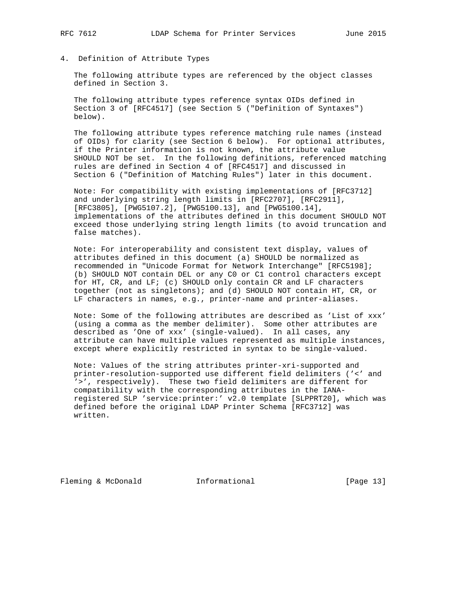# 4. Definition of Attribute Types

 The following attribute types are referenced by the object classes defined in Section 3.

 The following attribute types reference syntax OIDs defined in Section 3 of [RFC4517] (see Section 5 ("Definition of Syntaxes") below).

 The following attribute types reference matching rule names (instead of OIDs) for clarity (see Section 6 below). For optional attributes, if the Printer information is not known, the attribute value SHOULD NOT be set. In the following definitions, referenced matching rules are defined in Section 4 of [RFC4517] and discussed in Section 6 ("Definition of Matching Rules") later in this document.

 Note: For compatibility with existing implementations of [RFC3712] and underlying string length limits in [RFC2707], [RFC2911], [RFC3805], [PWG5107.2], [PWG5100.13], and [PWG5100.14], implementations of the attributes defined in this document SHOULD NOT exceed those underlying string length limits (to avoid truncation and false matches).

 Note: For interoperability and consistent text display, values of attributes defined in this document (a) SHOULD be normalized as recommended in "Unicode Format for Network Interchange" [RFC5198]; (b) SHOULD NOT contain DEL or any C0 or C1 control characters except for HT, CR, and LF; (c) SHOULD only contain CR and LF characters together (not as singletons); and (d) SHOULD NOT contain HT, CR, or LF characters in names, e.g., printer-name and printer-aliases.

 Note: Some of the following attributes are described as 'List of xxx' (using a comma as the member delimiter). Some other attributes are described as 'One of xxx' (single-valued). In all cases, any attribute can have multiple values represented as multiple instances, except where explicitly restricted in syntax to be single-valued.

 Note: Values of the string attributes printer-xri-supported and printer-resolution-supported use different field delimiters ('<' and '>', respectively). These two field delimiters are different for compatibility with the corresponding attributes in the IANA registered SLP 'service:printer:' v2.0 template [SLPPRT20], which was defined before the original LDAP Printer Schema [RFC3712] was written.

Fleming & McDonald **Informational** [Page 13]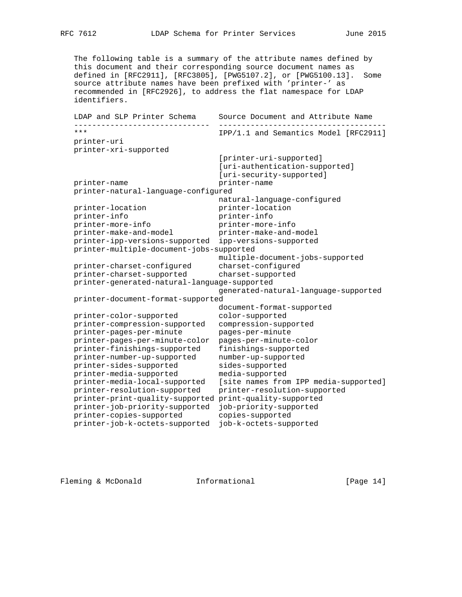The following table is a summary of the attribute names defined by this document and their corresponding source document names as defined in [RFC2911], [RFC3805], [PWG5107.2], or [PWG5100.13]. Some source attribute names have been prefixed with 'printer-' as recommended in [RFC2926], to address the flat namespace for LDAP identifiers.

 LDAP and SLP Printer Schema Source Document and Attribute Name ------------------------------ ------------------------------------- IPP/1.1 and Semantics Model [RFC2911] printer-uri printer-xri-supported [printer-uri-supported] [uri-authentication-supported] [uri-security-supported] printer-name printer-name printer-natural-language-configured printer-location matural-language-configured<br>printer-location printer-location printer-location printer-location printer-info printer-info printer-more-info printer-more-info printer-make-and-model printer-make-and-model printer-ipp-versions-supported ipp-versions-supported printer-multiple-document-jobs-supported multiple-document-jobs-supported printer-charset-configured charset-configured printer-charset-supported charset-supported printer-generated-natural-language-supported generated-natural-language-supported printer-document-format-supported document-format-supported printer-color-supported color-supported printer-compression-supported compression-supported printer-pages-per-minute pages-per-minute printer-pages-per-minute-color pages-per-minute-color printer-finishings-supported finishings-supported printer-number-up-supported number-up-supported printer-sides-supported sides-supported printer-media-supported media-supported printer-media-local-supported [site names from IPP media-supported] printer-resolution-supported printer-resolution-supported printer-print-quality-supported print-quality-supported printer-job-priority-supported job-priority-supported printer-copies-supported copies-supported printer-job-k-octets-supported job-k-octets-supported

Fleming & McDonald **Informational** [Page 14]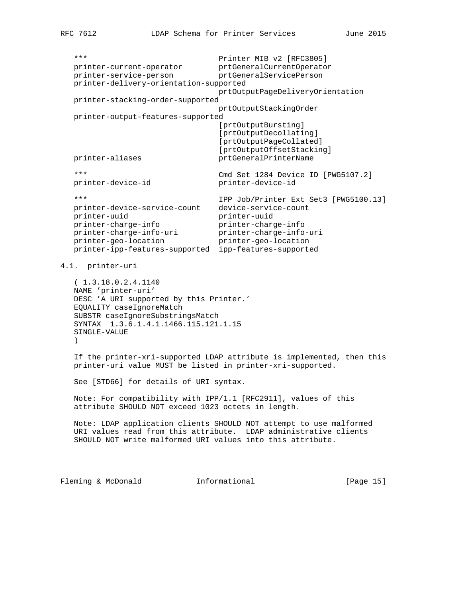\*\*\* Printer MIB v2 [RFC3805] printer-current-operator prtGeneralCurrentOperator printer-service-person prtGeneralServicePerson printer-delivery-orientation-supported prtOutputPageDeliveryOrientation printer-stacking-order-supported prtOutputStackingOrder printer-output-features-supported [prtOutputBursting] [prtOutputDecollating] [prtOutputPageCollated] [prtOutputOffsetStacking] printer-aliases prtGeneralPrinterName \*\*\* Cmd Set 1284 Device ID [PWG5107.2] printer-device-id printer-device-id \*\*\* IPP Job/Printer Ext Set3 [PWG5100.13] printer-device-service-count device-service-count printer-uuid printer-uuid printer-charge-info printer-charge-info printer-charge-info-uri printer-charge-info-uri printer-geo-location printer-geo-location printer-ipp-features-supported ipp-features-supported 4.1. printer-uri ( 1.3.18.0.2.4.1140 NAME 'printer-uri' DESC 'A URI supported by this Printer.' EQUALITY caseIgnoreMatch SUBSTR caseIgnoreSubstringsMatch SYNTAX 1.3.6.1.4.1.1466.115.121.1.15 SINGLE-VALUE ) If the printer-xri-supported LDAP attribute is implemented, then this printer-uri value MUST be listed in printer-xri-supported. See [STD66] for details of URI syntax. Note: For compatibility with IPP/1.1 [RFC2911], values of this attribute SHOULD NOT exceed 1023 octets in length. Note: LDAP application clients SHOULD NOT attempt to use malformed URI values read from this attribute. LDAP administrative clients SHOULD NOT write malformed URI values into this attribute. Fleming & McDonald **Informational** [Page 15]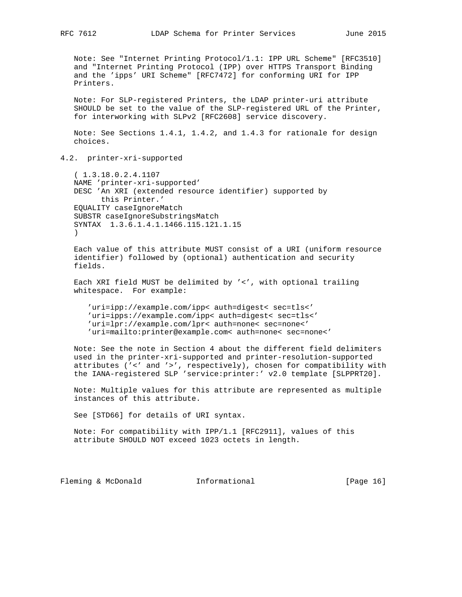Note: See "Internet Printing Protocol/1.1: IPP URL Scheme" [RFC3510] and "Internet Printing Protocol (IPP) over HTTPS Transport Binding and the 'ipps' URI Scheme" [RFC7472] for conforming URI for IPP Printers.

 Note: For SLP-registered Printers, the LDAP printer-uri attribute SHOULD be set to the value of the SLP-registered URL of the Printer, for interworking with SLPv2 [RFC2608] service discovery.

 Note: See Sections 1.4.1, 1.4.2, and 1.4.3 for rationale for design choices.

4.2. printer-xri-supported

 ( 1.3.18.0.2.4.1107 NAME 'printer-xri-supported' DESC 'An XRI (extended resource identifier) supported by this Printer.' EQUALITY caseIgnoreMatch SUBSTR caseIgnoreSubstringsMatch SYNTAX 1.3.6.1.4.1.1466.115.121.1.15  $\lambda$ 

 Each value of this attribute MUST consist of a URI (uniform resource identifier) followed by (optional) authentication and security fields.

 Each XRI field MUST be delimited by '<', with optional trailing whitespace. For example:

 'uri=ipp://example.com/ipp< auth=digest< sec=tls<' 'uri=ipps://example.com/ipp< auth=digest< sec=tls<' 'uri=lpr://example.com/lpr< auth=none< sec=none<' 'uri=mailto:printer@example.com< auth=none< sec=none<'

 Note: See the note in Section 4 about the different field delimiters used in the printer-xri-supported and printer-resolution-supported attributes ('<' and '>', respectively), chosen for compatibility with the IANA-registered SLP 'service:printer:' v2.0 template [SLPPRT20].

 Note: Multiple values for this attribute are represented as multiple instances of this attribute.

See [STD66] for details of URI syntax.

 Note: For compatibility with IPP/1.1 [RFC2911], values of this attribute SHOULD NOT exceed 1023 octets in length.

Fleming & McDonald **Informational** [Page 16]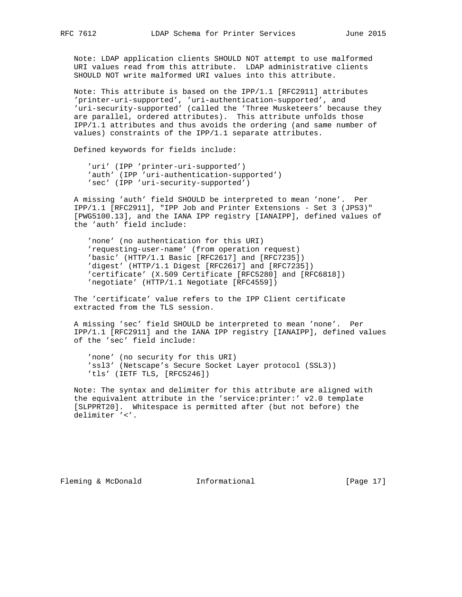Note: LDAP application clients SHOULD NOT attempt to use malformed URI values read from this attribute. LDAP administrative clients SHOULD NOT write malformed URI values into this attribute.

 Note: This attribute is based on the IPP/1.1 [RFC2911] attributes 'printer-uri-supported', 'uri-authentication-supported', and 'uri-security-supported' (called the 'Three Musketeers' because they are parallel, ordered attributes). This attribute unfolds those IPP/1.1 attributes and thus avoids the ordering (and same number of values) constraints of the IPP/1.1 separate attributes.

Defined keywords for fields include:

 'uri' (IPP 'printer-uri-supported') 'auth' (IPP 'uri-authentication-supported') 'sec' (IPP 'uri-security-supported')

 A missing 'auth' field SHOULD be interpreted to mean 'none'. Per IPP/1.1 [RFC2911], "IPP Job and Printer Extensions - Set 3 (JPS3)" [PWG5100.13], and the IANA IPP registry [IANAIPP], defined values of the 'auth' field include:

 'none' (no authentication for this URI) 'requesting-user-name' (from operation request) 'basic' (HTTP/1.1 Basic [RFC2617] and [RFC7235]) 'digest' (HTTP/1.1 Digest [RFC2617] and [RFC7235]) 'certificate' (X.509 Certificate [RFC5280] and [RFC6818]) 'negotiate' (HTTP/1.1 Negotiate [RFC4559])

 The 'certificate' value refers to the IPP Client certificate extracted from the TLS session.

 A missing 'sec' field SHOULD be interpreted to mean 'none'. Per IPP/1.1 [RFC2911] and the IANA IPP registry [IANAIPP], defined values of the 'sec' field include:

 'none' (no security for this URI) 'ssl3' (Netscape's Secure Socket Layer protocol (SSL3)) 'tls' (IETF TLS, [RFC5246])

 Note: The syntax and delimiter for this attribute are aligned with the equivalent attribute in the 'service:printer:' v2.0 template [SLPPRT20]. Whitespace is permitted after (but not before) the delimiter '<'.

Fleming & McDonald **Informational** [Page 17]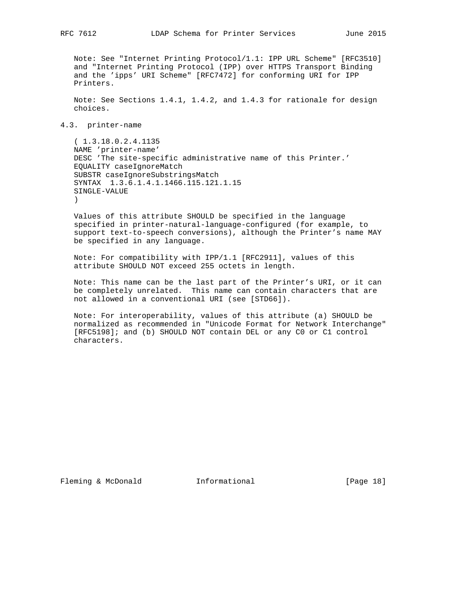Note: See "Internet Printing Protocol/1.1: IPP URL Scheme" [RFC3510] and "Internet Printing Protocol (IPP) over HTTPS Transport Binding and the 'ipps' URI Scheme" [RFC7472] for conforming URI for IPP Printers.

 Note: See Sections 1.4.1, 1.4.2, and 1.4.3 for rationale for design choices.

### 4.3. printer-name

 ( 1.3.18.0.2.4.1135 NAME 'printer-name' DESC 'The site-specific administrative name of this Printer.' EQUALITY caseIgnoreMatch SUBSTR caseIgnoreSubstringsMatch SYNTAX 1.3.6.1.4.1.1466.115.121.1.15 SINGLE-VALUE  $\lambda$ 

 Values of this attribute SHOULD be specified in the language specified in printer-natural-language-configured (for example, to support text-to-speech conversions), although the Printer's name MAY be specified in any language.

 Note: For compatibility with IPP/1.1 [RFC2911], values of this attribute SHOULD NOT exceed 255 octets in length.

 Note: This name can be the last part of the Printer's URI, or it can be completely unrelated. This name can contain characters that are not allowed in a conventional URI (see [STD66]).

 Note: For interoperability, values of this attribute (a) SHOULD be normalized as recommended in "Unicode Format for Network Interchange" [RFC5198]; and (b) SHOULD NOT contain DEL or any C0 or C1 control characters.

Fleming & McDonald **Informational** [Page 18]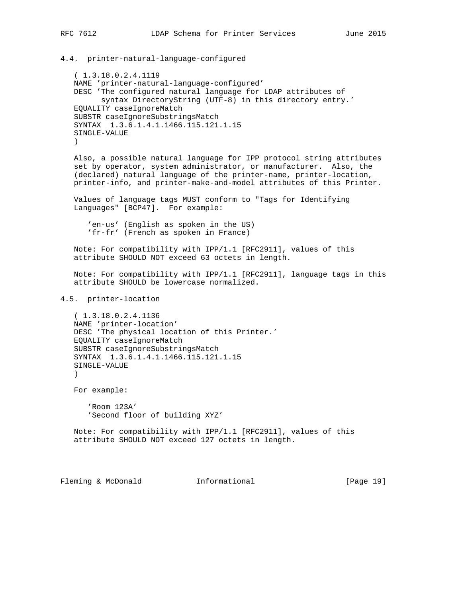4.4. printer-natural-language-configured ( 1.3.18.0.2.4.1119 NAME 'printer-natural-language-configured' DESC 'The configured natural language for LDAP attributes of syntax DirectoryString (UTF-8) in this directory entry.' EQUALITY caseIgnoreMatch SUBSTR caseIgnoreSubstringsMatch SYNTAX 1.3.6.1.4.1.1466.115.121.1.15 SINGLE-VALUE ) Also, a possible natural language for IPP protocol string attributes set by operator, system administrator, or manufacturer. Also, the (declared) natural language of the printer-name, printer-location, printer-info, and printer-make-and-model attributes of this Printer. Values of language tags MUST conform to "Tags for Identifying Languages" [BCP47]. For example: 'en-us' (English as spoken in the US) 'fr-fr' (French as spoken in France) Note: For compatibility with IPP/1.1 [RFC2911], values of this attribute SHOULD NOT exceed 63 octets in length. Note: For compatibility with IPP/1.1 [RFC2911], language tags in this attribute SHOULD be lowercase normalized. 4.5. printer-location ( 1.3.18.0.2.4.1136 NAME 'printer-location' DESC 'The physical location of this Printer.' EQUALITY caseIgnoreMatch SUBSTR caseIgnoreSubstringsMatch SYNTAX 1.3.6.1.4.1.1466.115.121.1.15 SINGLE-VALUE  $\qquad \qquad$  For example: 'Room 123A' 'Second floor of building XYZ' Note: For compatibility with IPP/1.1 [RFC2911], values of this attribute SHOULD NOT exceed 127 octets in length.

Fleming & McDonald **Informational** [Page 19]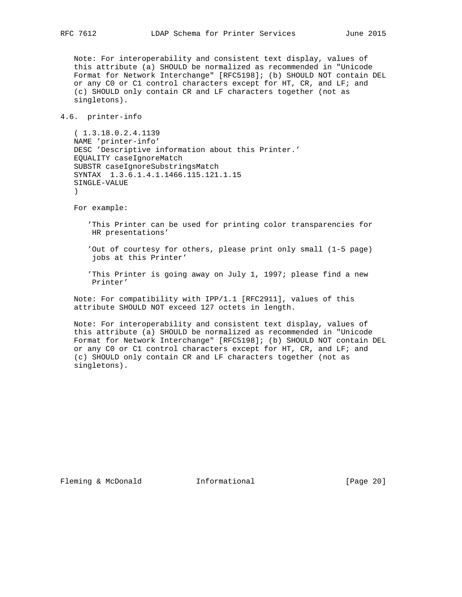Note: For interoperability and consistent text display, values of this attribute (a) SHOULD be normalized as recommended in "Unicode Format for Network Interchange" [RFC5198]; (b) SHOULD NOT contain DEL or any C0 or C1 control characters except for HT, CR, and LF; and (c) SHOULD only contain CR and LF characters together (not as singletons).

### 4.6. printer-info

 ( 1.3.18.0.2.4.1139 NAME 'printer-info' DESC 'Descriptive information about this Printer.' EQUALITY caseIgnoreMatch SUBSTR caseIgnoreSubstringsMatch SYNTAX 1.3.6.1.4.1.1466.115.121.1.15 SINGLE-VALUE )

For example:

 'This Printer can be used for printing color transparencies for HR presentations'

 'Out of courtesy for others, please print only small (1-5 page) jobs at this Printer'

 'This Printer is going away on July 1, 1997; please find a new Printer'

 Note: For compatibility with IPP/1.1 [RFC2911], values of this attribute SHOULD NOT exceed 127 octets in length.

 Note: For interoperability and consistent text display, values of this attribute (a) SHOULD be normalized as recommended in "Unicode Format for Network Interchange" [RFC5198]; (b) SHOULD NOT contain DEL or any C0 or C1 control characters except for HT, CR, and LF; and (c) SHOULD only contain CR and LF characters together (not as singletons).

Fleming & McDonald **Informational** [Page 20]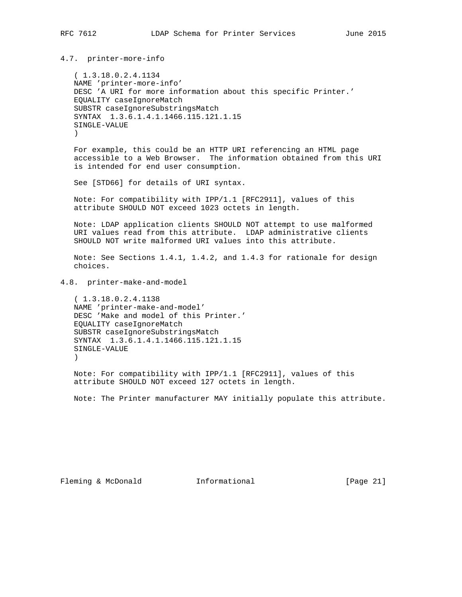## 4.7. printer-more-info

 ( 1.3.18.0.2.4.1134 NAME 'printer-more-info' DESC 'A URI for more information about this specific Printer.' EQUALITY caseIgnoreMatch SUBSTR caseIgnoreSubstringsMatch SYNTAX 1.3.6.1.4.1.1466.115.121.1.15 SINGLE-VALUE )

 For example, this could be an HTTP URI referencing an HTML page accessible to a Web Browser. The information obtained from this URI is intended for end user consumption.

See [STD66] for details of URI syntax.

 Note: For compatibility with IPP/1.1 [RFC2911], values of this attribute SHOULD NOT exceed 1023 octets in length.

 Note: LDAP application clients SHOULD NOT attempt to use malformed URI values read from this attribute. LDAP administrative clients SHOULD NOT write malformed URI values into this attribute.

 Note: See Sections 1.4.1, 1.4.2, and 1.4.3 for rationale for design choices.

4.8. printer-make-and-model

 ( 1.3.18.0.2.4.1138 NAME 'printer-make-and-model' DESC 'Make and model of this Printer.' EQUALITY caseIgnoreMatch SUBSTR caseIgnoreSubstringsMatch SYNTAX 1.3.6.1.4.1.1466.115.121.1.15 SINGLE-VALUE )

 Note: For compatibility with IPP/1.1 [RFC2911], values of this attribute SHOULD NOT exceed 127 octets in length.

Note: The Printer manufacturer MAY initially populate this attribute.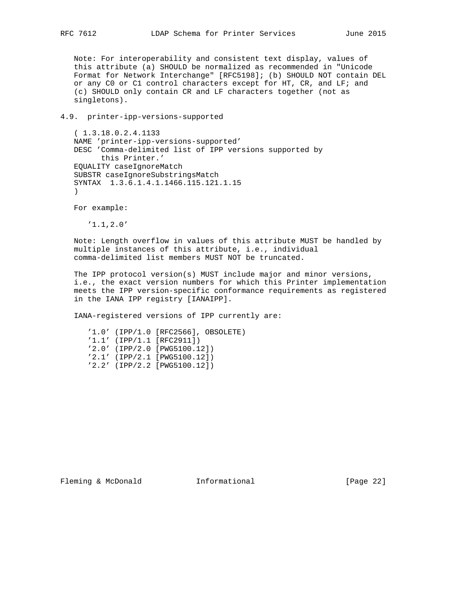Note: For interoperability and consistent text display, values of this attribute (a) SHOULD be normalized as recommended in "Unicode Format for Network Interchange" [RFC5198]; (b) SHOULD NOT contain DEL or any C0 or C1 control characters except for HT, CR, and LF; and (c) SHOULD only contain CR and LF characters together (not as singletons).

4.9. printer-ipp-versions-supported

 ( 1.3.18.0.2.4.1133 NAME 'printer-ipp-versions-supported' DESC 'Comma-delimited list of IPP versions supported by this Printer.' EQUALITY caseIgnoreMatch SUBSTR caseIgnoreSubstringsMatch SYNTAX 1.3.6.1.4.1.1466.115.121.1.15 )

For example:

'1.1,2.0'

 Note: Length overflow in values of this attribute MUST be handled by multiple instances of this attribute, i.e., individual comma-delimited list members MUST NOT be truncated.

 The IPP protocol version(s) MUST include major and minor versions, i.e., the exact version numbers for which this Printer implementation meets the IPP version-specific conformance requirements as registered in the IANA IPP registry [IANAIPP].

IANA-registered versions of IPP currently are:

 '1.0' (IPP/1.0 [RFC2566], OBSOLETE) '1.1' (IPP/1.1 [RFC2911]) '2.0' (IPP/2.0 [PWG5100.12]) '2.1' (IPP/2.1 [PWG5100.12]) '2.2' (IPP/2.2 [PWG5100.12])

Fleming & McDonald **Informational** [Page 22]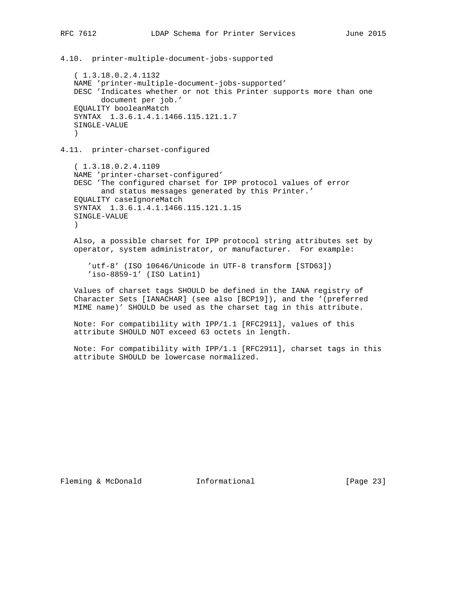4.10. printer-multiple-document-jobs-supported

 ( 1.3.18.0.2.4.1132 NAME 'printer-multiple-document-jobs-supported' DESC 'Indicates whether or not this Printer supports more than one document per job.' EQUALITY booleanMatch SYNTAX 1.3.6.1.4.1.1466.115.121.1.7 SINGLE-VALUE  $\lambda$ 

4.11. printer-charset-configured

 ( 1.3.18.0.2.4.1109 NAME 'printer-charset-configured' DESC 'The configured charset for IPP protocol values of error and status messages generated by this Printer.' EQUALITY caseIgnoreMatch SYNTAX 1.3.6.1.4.1.1466.115.121.1.15 SINGLE-VALUE  $\left( \right)$ 

 Also, a possible charset for IPP protocol string attributes set by operator, system administrator, or manufacturer. For example:

 'utf-8' (ISO 10646/Unicode in UTF-8 transform [STD63]) 'iso-8859-1' (ISO Latin1)

 Values of charset tags SHOULD be defined in the IANA registry of Character Sets [IANACHAR] (see also [BCP19]), and the '(preferred MIME name)' SHOULD be used as the charset tag in this attribute.

 Note: For compatibility with IPP/1.1 [RFC2911], values of this attribute SHOULD NOT exceed 63 octets in length.

 Note: For compatibility with IPP/1.1 [RFC2911], charset tags in this attribute SHOULD be lowercase normalized.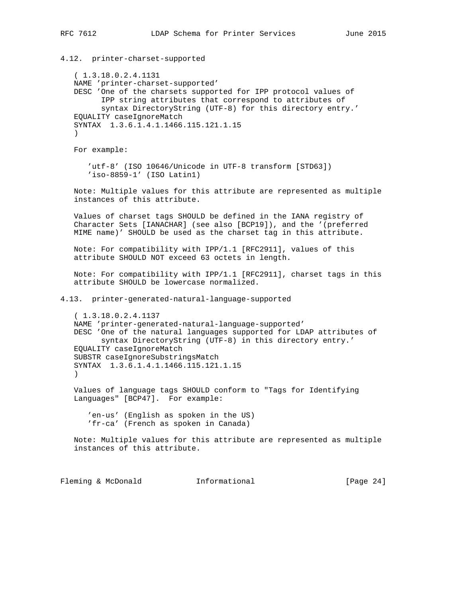4.12. printer-charset-supported ( 1.3.18.0.2.4.1131 NAME 'printer-charset-supported' DESC 'One of the charsets supported for IPP protocol values of IPP string attributes that correspond to attributes of syntax DirectoryString (UTF-8) for this directory entry.' EQUALITY caseIgnoreMatch SYNTAX 1.3.6.1.4.1.1466.115.121.1.15  $\lambda$  For example: 'utf-8' (ISO 10646/Unicode in UTF-8 transform [STD63]) 'iso-8859-1' (ISO Latin1) Note: Multiple values for this attribute are represented as multiple instances of this attribute. Values of charset tags SHOULD be defined in the IANA registry of Character Sets [IANACHAR] (see also [BCP19]), and the '(preferred MIME name)' SHOULD be used as the charset tag in this attribute. Note: For compatibility with IPP/1.1 [RFC2911], values of this attribute SHOULD NOT exceed 63 octets in length. Note: For compatibility with IPP/1.1 [RFC2911], charset tags in this attribute SHOULD be lowercase normalized. 4.13. printer-generated-natural-language-supported ( 1.3.18.0.2.4.1137 NAME 'printer-generated-natural-language-supported' DESC 'One of the natural languages supported for LDAP attributes of syntax DirectoryString (UTF-8) in this directory entry.' EQUALITY caseIgnoreMatch SUBSTR caseIgnoreSubstringsMatch SYNTAX 1.3.6.1.4.1.1466.115.121.1.15  $\qquad \qquad$  Values of language tags SHOULD conform to "Tags for Identifying Languages" [BCP47]. For example: 'en-us' (English as spoken in the US) 'fr-ca' (French as spoken in Canada) Note: Multiple values for this attribute are represented as multiple instances of this attribute. Fleming & McDonald **Informational** [Page 24]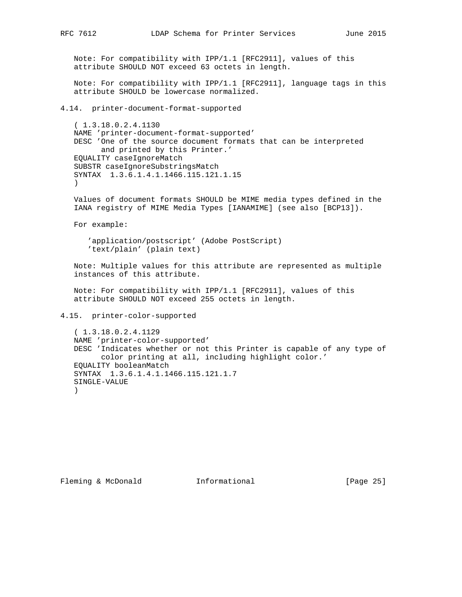Note: For compatibility with IPP/1.1 [RFC2911], values of this attribute SHOULD NOT exceed 63 octets in length.

 Note: For compatibility with IPP/1.1 [RFC2911], language tags in this attribute SHOULD be lowercase normalized.

4.14. printer-document-format-supported

 ( 1.3.18.0.2.4.1130 NAME 'printer-document-format-supported' DESC 'One of the source document formats that can be interpreted and printed by this Printer.' EQUALITY caseIgnoreMatch SUBSTR caseIgnoreSubstringsMatch SYNTAX 1.3.6.1.4.1.1466.115.121.1.15  $\qquad \qquad$ 

 Values of document formats SHOULD be MIME media types defined in the IANA registry of MIME Media Types [IANAMIME] (see also [BCP13]).

For example:

 'application/postscript' (Adobe PostScript) 'text/plain' (plain text)

 Note: Multiple values for this attribute are represented as multiple instances of this attribute.

 Note: For compatibility with IPP/1.1 [RFC2911], values of this attribute SHOULD NOT exceed 255 octets in length.

4.15. printer-color-supported

 ( 1.3.18.0.2.4.1129 NAME 'printer-color-supported' DESC 'Indicates whether or not this Printer is capable of any type of color printing at all, including highlight color.' EQUALITY booleanMatch SYNTAX 1.3.6.1.4.1.1466.115.121.1.7 SINGLE-VALUE )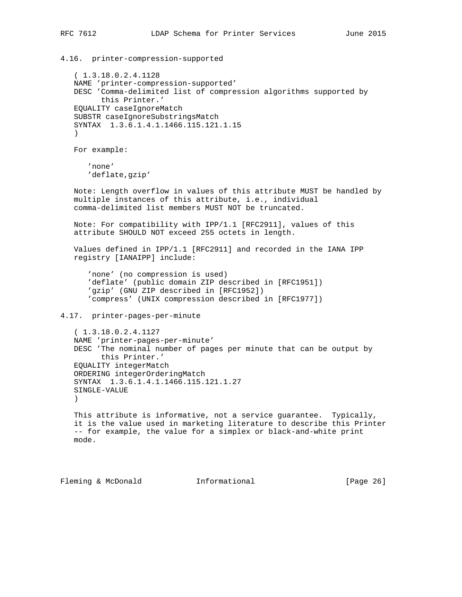4.16. printer-compression-supported ( 1.3.18.0.2.4.1128 NAME 'printer-compression-supported' DESC 'Comma-delimited list of compression algorithms supported by this Printer.' EQUALITY caseIgnoreMatch SUBSTR caseIgnoreSubstringsMatch SYNTAX 1.3.6.1.4.1.1466.115.121.1.15  $\lambda$  For example: 'none' 'deflate,gzip' Note: Length overflow in values of this attribute MUST be handled by multiple instances of this attribute, i.e., individual comma-delimited list members MUST NOT be truncated. Note: For compatibility with IPP/1.1 [RFC2911], values of this attribute SHOULD NOT exceed 255 octets in length. Values defined in IPP/1.1 [RFC2911] and recorded in the IANA IPP registry [IANAIPP] include: 'none' (no compression is used) 'deflate' (public domain ZIP described in [RFC1951]) 'gzip' (GNU ZIP described in [RFC1952]) 'compress' (UNIX compression described in [RFC1977]) 4.17. printer-pages-per-minute ( 1.3.18.0.2.4.1127 NAME 'printer-pages-per-minute' DESC 'The nominal number of pages per minute that can be output by this Printer.' EQUALITY integerMatch ORDERING integerOrderingMatch SYNTAX 1.3.6.1.4.1.1466.115.121.1.27 SINGLE-VALUE  $\rightarrow$  This attribute is informative, not a service guarantee. Typically, it is the value used in marketing literature to describe this Printer -- for example, the value for a simplex or black-and-white print mode. Fleming & McDonald **Informational** [Page 26]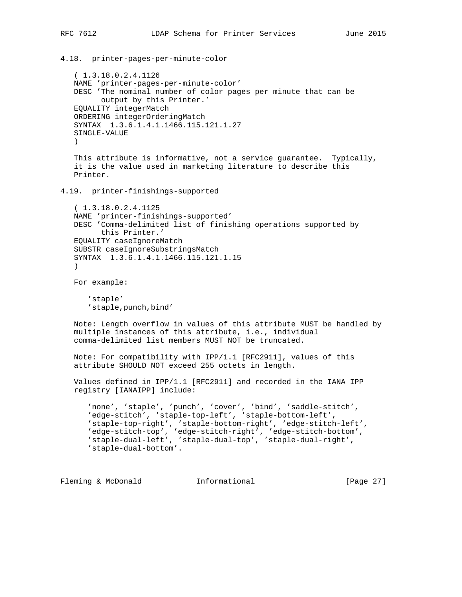```
RFC 7612 LDAP Schema for Printer Services June 2015
4.18. printer-pages-per-minute-color
    ( 1.3.18.0.2.4.1126
   NAME 'printer-pages-per-minute-color'
    DESC 'The nominal number of color pages per minute that can be
          output by this Printer.'
    EQUALITY integerMatch
    ORDERING integerOrderingMatch
    SYNTAX 1.3.6.1.4.1.1466.115.121.1.27
    SINGLE-VALUE
    )
    This attribute is informative, not a service guarantee. Typically,
    it is the value used in marketing literature to describe this
    Printer.
4.19. printer-finishings-supported
    ( 1.3.18.0.2.4.1125
    NAME 'printer-finishings-supported'
    DESC 'Comma-delimited list of finishing operations supported by
         this Printer.'
    EQUALITY caseIgnoreMatch
    SUBSTR caseIgnoreSubstringsMatch
    SYNTAX 1.3.6.1.4.1.1466.115.121.1.15
\qquad \qquad For example:
       'staple'
       'staple,punch,bind'
   Note: Length overflow in values of this attribute MUST be handled by
   multiple instances of this attribute, i.e., individual
    comma-delimited list members MUST NOT be truncated.
```

```
 Note: For compatibility with IPP/1.1 [RFC2911], values of this
 attribute SHOULD NOT exceed 255 octets in length.
```
 Values defined in IPP/1.1 [RFC2911] and recorded in the IANA IPP registry [IANAIPP] include:

 'none', 'staple', 'punch', 'cover', 'bind', 'saddle-stitch', 'edge-stitch', 'staple-top-left', 'staple-bottom-left', 'staple-top-right', 'staple-bottom-right', 'edge-stitch-left', 'edge-stitch-top', 'edge-stitch-right', 'edge-stitch-bottom', 'staple-dual-left', 'staple-dual-top', 'staple-dual-right', 'staple-dual-bottom'.

Fleming & McDonald **Informational** [Page 27]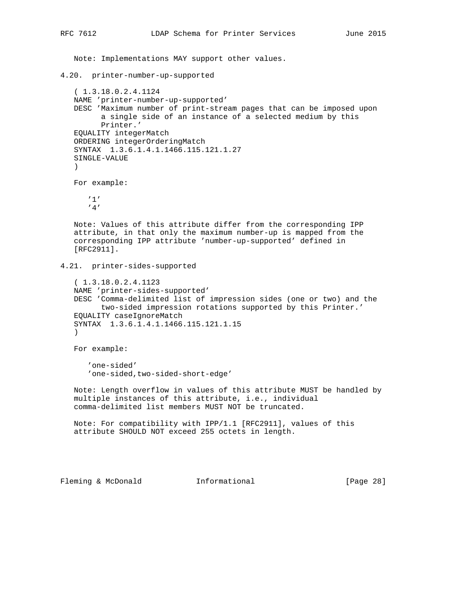Note: Implementations MAY support other values.

4.20. printer-number-up-supported

```
 ( 1.3.18.0.2.4.1124
 NAME 'printer-number-up-supported'
 DESC 'Maximum number of print-stream pages that can be imposed upon
       a single side of an instance of a selected medium by this
       Printer.'
 EQUALITY integerMatch
 ORDERING integerOrderingMatch
 SYNTAX 1.3.6.1.4.1.1466.115.121.1.27
 SINGLE-VALUE
 )
 For example:
```
 '1' '4'

 Note: Values of this attribute differ from the corresponding IPP attribute, in that only the maximum number-up is mapped from the corresponding IPP attribute 'number-up-supported' defined in [RFC2911].

4.21. printer-sides-supported

```
 ( 1.3.18.0.2.4.1123
 NAME 'printer-sides-supported'
 DESC 'Comma-delimited list of impression sides (one or two) and the
       two-sided impression rotations supported by this Printer.'
 EQUALITY caseIgnoreMatch
 SYNTAX 1.3.6.1.4.1.1466.115.121.1.15
 )
```
For example:

 'one-sided' 'one-sided,two-sided-short-edge'

 Note: Length overflow in values of this attribute MUST be handled by multiple instances of this attribute, i.e., individual comma-delimited list members MUST NOT be truncated.

 Note: For compatibility with IPP/1.1 [RFC2911], values of this attribute SHOULD NOT exceed 255 octets in length.

Fleming & McDonald **Informational** [Page 28]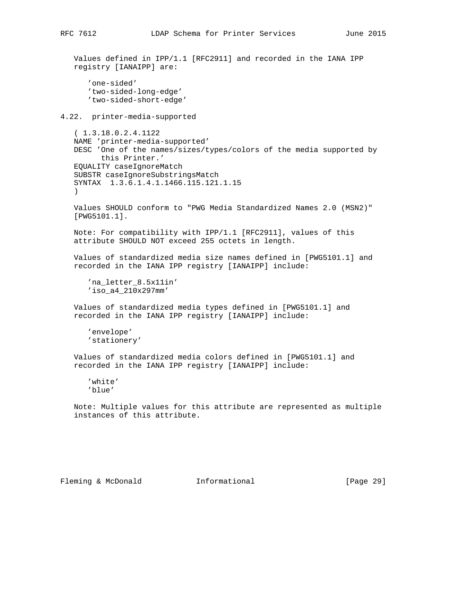Values defined in IPP/1.1 [RFC2911] and recorded in the IANA IPP registry [IANAIPP] are: 'one-sided' 'two-sided-long-edge' 'two-sided-short-edge' 4.22. printer-media-supported ( 1.3.18.0.2.4.1122 NAME 'printer-media-supported' DESC 'One of the names/sizes/types/colors of the media supported by this Printer.' EQUALITY caseIgnoreMatch SUBSTR caseIgnoreSubstringsMatch SYNTAX 1.3.6.1.4.1.1466.115.121.1.15 ) Values SHOULD conform to "PWG Media Standardized Names 2.0 (MSN2)" [PWG5101.1].

 Note: For compatibility with IPP/1.1 [RFC2911], values of this attribute SHOULD NOT exceed 255 octets in length.

 Values of standardized media size names defined in [PWG5101.1] and recorded in the IANA IPP registry [IANAIPP] include:

 'na\_letter\_8.5x11in' 'iso\_a4\_210x297mm'

 Values of standardized media types defined in [PWG5101.1] and recorded in the IANA IPP registry [IANAIPP] include:

 'envelope' 'stationery'

 Values of standardized media colors defined in [PWG5101.1] and recorded in the IANA IPP registry [IANAIPP] include:

 'white' 'blue'

 Note: Multiple values for this attribute are represented as multiple instances of this attribute.

Fleming & McDonald **Informational** [Page 29]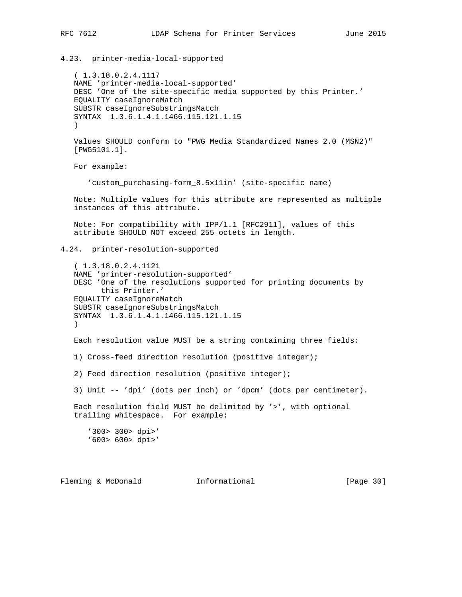```
4.23. printer-media-local-supported
    ( 1.3.18.0.2.4.1117
   NAME 'printer-media-local-supported'
   DESC 'One of the site-specific media supported by this Printer.'
   EQUALITY caseIgnoreMatch
    SUBSTR caseIgnoreSubstringsMatch
    SYNTAX 1.3.6.1.4.1.1466.115.121.1.15
    )
   Values SHOULD conform to "PWG Media Standardized Names 2.0 (MSN2)"
    [PWG5101.1].
   For example:
       'custom_purchasing-form_8.5x11in' (site-specific name)
   Note: Multiple values for this attribute are represented as multiple
   instances of this attribute.
   Note: For compatibility with IPP/1.1 [RFC2911], values of this
   attribute SHOULD NOT exceed 255 octets in length.
4.24. printer-resolution-supported
    ( 1.3.18.0.2.4.1121
   NAME 'printer-resolution-supported'
   DESC 'One of the resolutions supported for printing documents by
         this Printer.'
   EQUALITY caseIgnoreMatch
    SUBSTR caseIgnoreSubstringsMatch
    SYNTAX 1.3.6.1.4.1.1466.115.121.1.15
   \lambda Each resolution value MUST be a string containing three fields:
   1) Cross-feed direction resolution (positive integer);
    2) Feed direction resolution (positive integer);
    3) Unit -- 'dpi' (dots per inch) or 'dpcm' (dots per centimeter).
   Each resolution field MUST be delimited by '>', with optional
    trailing whitespace. For example:
       '300> 300> dpi>'
       '600> 600> dpi>'
Fleming & McDonald Informational [Page 30]
```
RFC 7612 LDAP Schema for Printer Services June 2015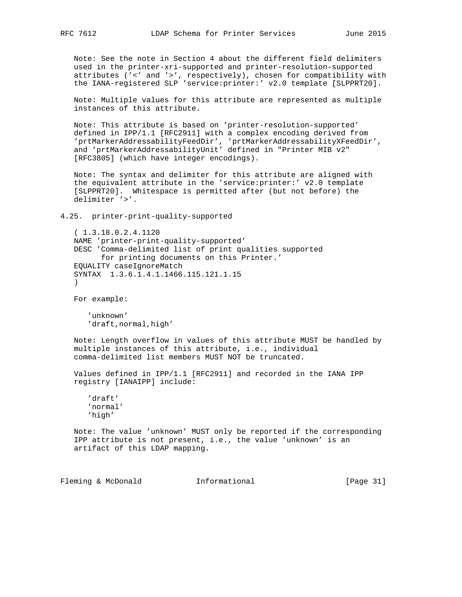Note: See the note in Section 4 about the different field delimiters used in the printer-xri-supported and printer-resolution-supported attributes ('<' and '>', respectively), chosen for compatibility with the IANA-registered SLP 'service:printer:' v2.0 template [SLPPRT20].

 Note: Multiple values for this attribute are represented as multiple instances of this attribute.

 Note: This attribute is based on 'printer-resolution-supported' defined in IPP/1.1 [RFC2911] with a complex encoding derived from 'prtMarkerAddressabilityFeedDir', 'prtMarkerAddressabilityXFeedDir', and 'prtMarkerAddressabilityUnit' defined in "Printer MIB v2" [RFC3805] (which have integer encodings).

 Note: The syntax and delimiter for this attribute are aligned with the equivalent attribute in the 'service:printer:' v2.0 template [SLPPRT20]. Whitespace is permitted after (but not before) the delimiter '>'.

```
4.25. printer-print-quality-supported
```
 ( 1.3.18.0.2.4.1120 NAME 'printer-print-quality-supported' DESC 'Comma-delimited list of print qualities supported for printing documents on this Printer.' EQUALITY caseIgnoreMatch SYNTAX 1.3.6.1.4.1.1466.115.121.1.15  $\qquad \qquad$ 

For example:

 'unknown' 'draft, normal, high'

 Note: Length overflow in values of this attribute MUST be handled by multiple instances of this attribute, i.e., individual comma-delimited list members MUST NOT be truncated.

 Values defined in IPP/1.1 [RFC2911] and recorded in the IANA IPP registry [IANAIPP] include:

 'draft' 'normal' 'high'

 Note: The value 'unknown' MUST only be reported if the corresponding IPP attribute is not present, i.e., the value 'unknown' is an artifact of this LDAP mapping.

Fleming & McDonald **Informational** [Page 31]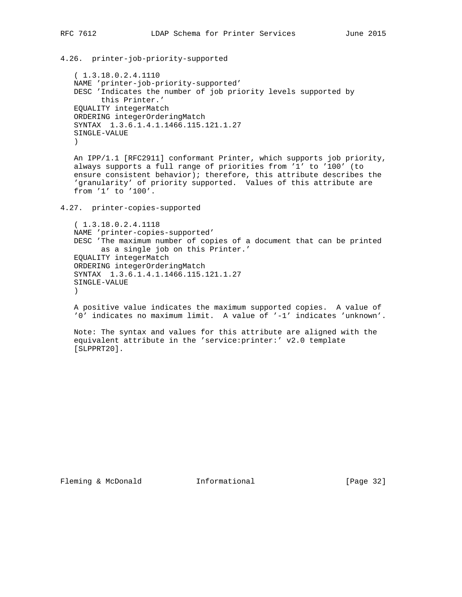4.26. printer-job-priority-supported

 ( 1.3.18.0.2.4.1110 NAME 'printer-job-priority-supported' DESC 'Indicates the number of job priority levels supported by this Printer.' EQUALITY integerMatch ORDERING integerOrderingMatch SYNTAX 1.3.6.1.4.1.1466.115.121.1.27 SINGLE-VALUE )

 An IPP/1.1 [RFC2911] conformant Printer, which supports job priority, always supports a full range of priorities from '1' to '100' (to ensure consistent behavior); therefore, this attribute describes the 'granularity' of priority supported. Values of this attribute are from '1' to '100'.

4.27. printer-copies-supported

 ( 1.3.18.0.2.4.1118 NAME 'printer-copies-supported' DESC 'The maximum number of copies of a document that can be printed as a single job on this Printer.' EQUALITY integerMatch ORDERING integerOrderingMatch SYNTAX 1.3.6.1.4.1.1466.115.121.1.27 SINGLE-VALUE )

 A positive value indicates the maximum supported copies. A value of '0' indicates no maximum limit. A value of '-1' indicates 'unknown'.

 Note: The syntax and values for this attribute are aligned with the equivalent attribute in the 'service:printer:' v2.0 template [SLPPRT20].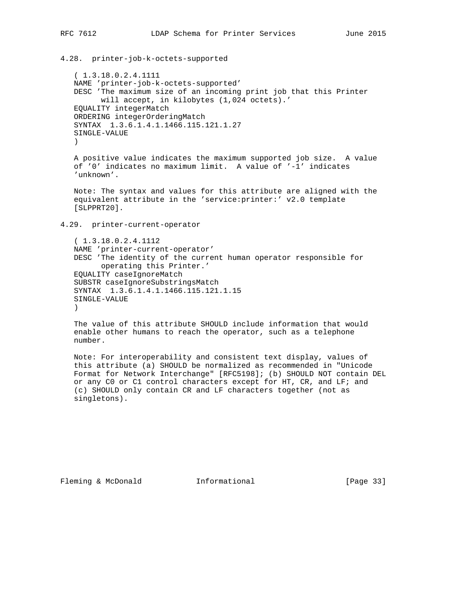4.28. printer-job-k-octets-supported

 ( 1.3.18.0.2.4.1111 NAME 'printer-job-k-octets-supported' DESC 'The maximum size of an incoming print job that this Printer will accept, in kilobytes (1,024 octets).' EQUALITY integerMatch ORDERING integerOrderingMatch SYNTAX 1.3.6.1.4.1.1466.115.121.1.27 SINGLE-VALUE )

 A positive value indicates the maximum supported job size. A value of '0' indicates no maximum limit. A value of '-1' indicates 'unknown'.

 Note: The syntax and values for this attribute are aligned with the equivalent attribute in the 'service:printer:' v2.0 template [SLPPRT20].

4.29. printer-current-operator

 ( 1.3.18.0.2.4.1112 NAME 'printer-current-operator' DESC 'The identity of the current human operator responsible for operating this Printer.' EQUALITY caseIgnoreMatch SUBSTR caseIgnoreSubstringsMatch SYNTAX 1.3.6.1.4.1.1466.115.121.1.15 SINGLE-VALUE  $)$ 

 The value of this attribute SHOULD include information that would enable other humans to reach the operator, such as a telephone number.

 Note: For interoperability and consistent text display, values of this attribute (a) SHOULD be normalized as recommended in "Unicode Format for Network Interchange" [RFC5198]; (b) SHOULD NOT contain DEL or any C0 or C1 control characters except for HT, CR, and LF; and (c) SHOULD only contain CR and LF characters together (not as singletons).

Fleming & McDonald **Informational** [Page 33]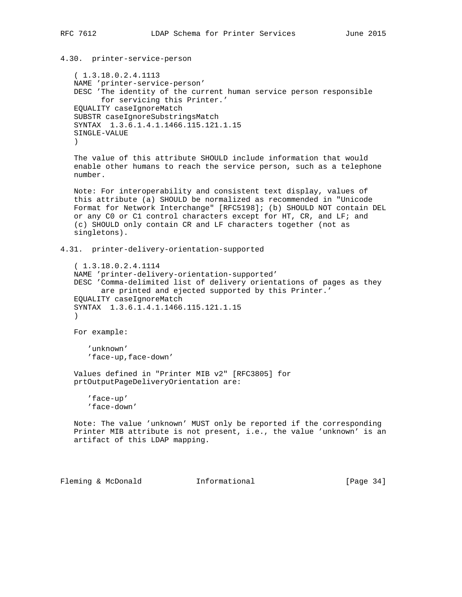4.30. printer-service-person ( 1.3.18.0.2.4.1113 NAME 'printer-service-person' DESC 'The identity of the current human service person responsible for servicing this Printer.' EQUALITY caseIgnoreMatch SUBSTR caseIgnoreSubstringsMatch SYNTAX 1.3.6.1.4.1.1466.115.121.1.15 SINGLE-VALUE ) The value of this attribute SHOULD include information that would enable other humans to reach the service person, such as a telephone number. Note: For interoperability and consistent text display, values of this attribute (a) SHOULD be normalized as recommended in "Unicode Format for Network Interchange" [RFC5198]; (b) SHOULD NOT contain DEL or any C0 or C1 control characters except for HT, CR, and LF; and (c) SHOULD only contain CR and LF characters together (not as singletons). 4.31. printer-delivery-orientation-supported ( 1.3.18.0.2.4.1114 NAME 'printer-delivery-orientation-supported' DESC 'Comma-delimited list of delivery orientations of pages as they are printed and ejected supported by this Printer.' EQUALITY caseIgnoreMatch SYNTAX 1.3.6.1.4.1.1466.115.121.1.15  $)$  For example: 'unknown' 'face-up,face-down' Values defined in "Printer MIB v2" [RFC3805] for prtOutputPageDeliveryOrientation are: 'face-up' 'face-down' Note: The value 'unknown' MUST only be reported if the corresponding Printer MIB attribute is not present, i.e., the value 'unknown' is an artifact of this LDAP mapping.

Fleming & McDonald **Informational** [Page 34]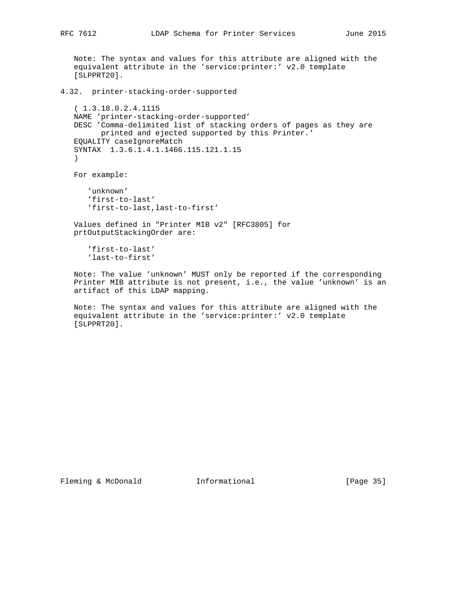Note: The syntax and values for this attribute are aligned with the equivalent attribute in the 'service:printer:' v2.0 template [SLPPRT20].

4.32. printer-stacking-order-supported

 ( 1.3.18.0.2.4.1115 NAME 'printer-stacking-order-supported' DESC 'Comma-delimited list of stacking orders of pages as they are printed and ejected supported by this Printer.' EQUALITY caseIgnoreMatch SYNTAX 1.3.6.1.4.1.1466.115.121.1.15 )

For example:

 'unknown' 'first-to-last' 'first-to-last,last-to-first'

 Values defined in "Printer MIB v2" [RFC3805] for prtOutputStackingOrder are:

 'first-to-last' 'last-to-first'

 Note: The value 'unknown' MUST only be reported if the corresponding Printer MIB attribute is not present, i.e., the value 'unknown' is an artifact of this LDAP mapping.

 Note: The syntax and values for this attribute are aligned with the equivalent attribute in the 'service:printer:' v2.0 template [SLPPRT20].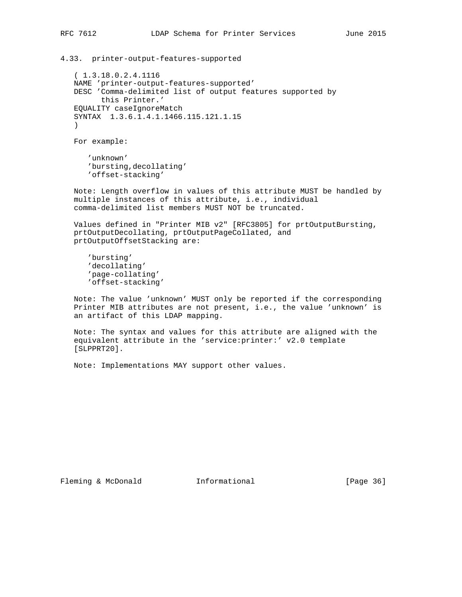4.33. printer-output-features-supported

 ( 1.3.18.0.2.4.1116 NAME 'printer-output-features-supported' DESC 'Comma-delimited list of output features supported by this Printer.' EQUALITY caseIgnoreMatch SYNTAX 1.3.6.1.4.1.1466.115.121.1.15  $\lambda$ 

For example:

 'unknown' 'bursting,decollating' 'offset-stacking'

 Note: Length overflow in values of this attribute MUST be handled by multiple instances of this attribute, i.e., individual comma-delimited list members MUST NOT be truncated.

 Values defined in "Printer MIB v2" [RFC3805] for prtOutputBursting, prtOutputDecollating, prtOutputPageCollated, and prtOutputOffsetStacking are:

 'bursting' 'decollating' 'page-collating' 'offset-stacking'

 Note: The value 'unknown' MUST only be reported if the corresponding Printer MIB attributes are not present, i.e., the value 'unknown' is an artifact of this LDAP mapping.

 Note: The syntax and values for this attribute are aligned with the equivalent attribute in the 'service:printer:' v2.0 template [SLPPRT20].

Note: Implementations MAY support other values.

Fleming & McDonald **Informational** [Page 36]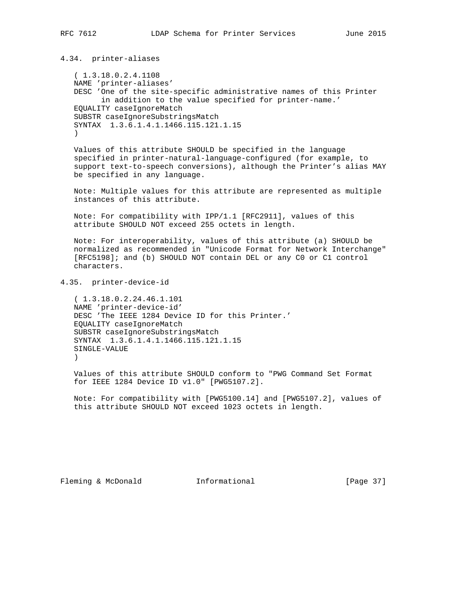4.34. printer-aliases

 ( 1.3.18.0.2.4.1108 NAME 'printer-aliases' DESC 'One of the site-specific administrative names of this Printer in addition to the value specified for printer-name.' EQUALITY caseIgnoreMatch SUBSTR caseIgnoreSubstringsMatch SYNTAX 1.3.6.1.4.1.1466.115.121.1.15  $\lambda$ 

 Values of this attribute SHOULD be specified in the language specified in printer-natural-language-configured (for example, to support text-to-speech conversions), although the Printer's alias MAY be specified in any language.

 Note: Multiple values for this attribute are represented as multiple instances of this attribute.

 Note: For compatibility with IPP/1.1 [RFC2911], values of this attribute SHOULD NOT exceed 255 octets in length.

 Note: For interoperability, values of this attribute (a) SHOULD be normalized as recommended in "Unicode Format for Network Interchange" [RFC5198]; and (b) SHOULD NOT contain DEL or any C0 or C1 control characters.

4.35. printer-device-id

 ( 1.3.18.0.2.24.46.1.101 NAME 'printer-device-id' DESC 'The IEEE 1284 Device ID for this Printer.' EQUALITY caseIgnoreMatch SUBSTR caseIgnoreSubstringsMatch SYNTAX 1.3.6.1.4.1.1466.115.121.1.15 SINGLE-VALUE  $\qquad \qquad$ 

 Values of this attribute SHOULD conform to "PWG Command Set Format for IEEE 1284 Device ID v1.0" [PWG5107.2].

 Note: For compatibility with [PWG5100.14] and [PWG5107.2], values of this attribute SHOULD NOT exceed 1023 octets in length.

Fleming & McDonald **Informational** [Page 37]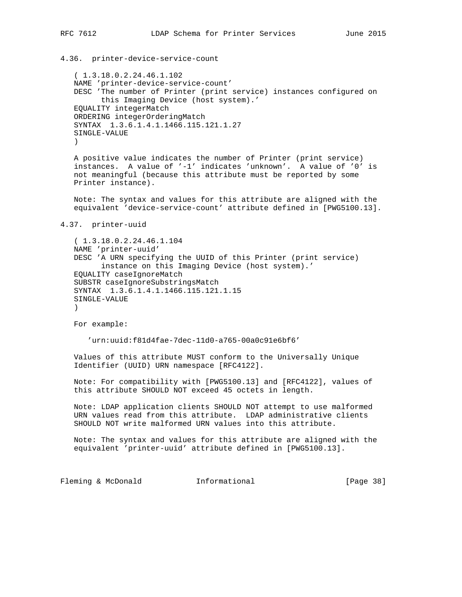4.36. printer-device-service-count ( 1.3.18.0.2.24.46.1.102 NAME 'printer-device-service-count' DESC 'The number of Printer (print service) instances configured on this Imaging Device (host system).' EQUALITY integerMatch ORDERING integerOrderingMatch SYNTAX 1.3.6.1.4.1.1466.115.121.1.27 SINGLE-VALUE ) A positive value indicates the number of Printer (print service) instances. A value of '-1' indicates 'unknown'. A value of '0' is not meaningful (because this attribute must be reported by some Printer instance). Note: The syntax and values for this attribute are aligned with the equivalent 'device-service-count' attribute defined in [PWG5100.13]. 4.37. printer-uuid ( 1.3.18.0.2.24.46.1.104 NAME 'printer-uuid' DESC 'A URN specifying the UUID of this Printer (print service) instance on this Imaging Device (host system).' EQUALITY caseIgnoreMatch SUBSTR caseIgnoreSubstringsMatch SYNTAX 1.3.6.1.4.1.1466.115.121.1.15 SINGLE-VALUE  $\left( \right)$  For example: 'urn:uuid:f81d4fae-7dec-11d0-a765-00a0c91e6bf6' Values of this attribute MUST conform to the Universally Unique Identifier (UUID) URN namespace [RFC4122]. Note: For compatibility with [PWG5100.13] and [RFC4122], values of this attribute SHOULD NOT exceed 45 octets in length. Note: LDAP application clients SHOULD NOT attempt to use malformed URN values read from this attribute. LDAP administrative clients SHOULD NOT write malformed URN values into this attribute. Note: The syntax and values for this attribute are aligned with the equivalent 'printer-uuid' attribute defined in [PWG5100.13]. Fleming & McDonald **Informational** [Page 38]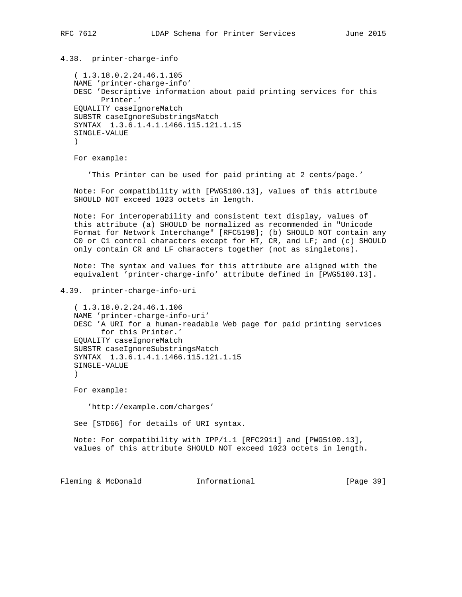4.38. printer-charge-info

 ( 1.3.18.0.2.24.46.1.105 NAME 'printer-charge-info' DESC 'Descriptive information about paid printing services for this Printer.' EQUALITY caseIgnoreMatch SUBSTR caseIgnoreSubstringsMatch SYNTAX 1.3.6.1.4.1.1466.115.121.1.15 SINGLE-VALUE  $\lambda$ 

For example:

'This Printer can be used for paid printing at 2 cents/page.'

 Note: For compatibility with [PWG5100.13], values of this attribute SHOULD NOT exceed 1023 octets in length.

 Note: For interoperability and consistent text display, values of this attribute (a) SHOULD be normalized as recommended in "Unicode Format for Network Interchange" [RFC5198]; (b) SHOULD NOT contain any C0 or C1 control characters except for HT, CR, and LF; and (c) SHOULD only contain CR and LF characters together (not as singletons).

 Note: The syntax and values for this attribute are aligned with the equivalent 'printer-charge-info' attribute defined in [PWG5100.13].

4.39. printer-charge-info-uri

```
 ( 1.3.18.0.2.24.46.1.106
   NAME 'printer-charge-info-uri'
   DESC 'A URI for a human-readable Web page for paid printing services
         for this Printer.'
   EQUALITY caseIgnoreMatch
    SUBSTR caseIgnoreSubstringsMatch
    SYNTAX 1.3.6.1.4.1.1466.115.121.1.15
    SINGLE-VALUE
\qquad \qquad
```
For example:

'http://example.com/charges'

See [STD66] for details of URI syntax.

 Note: For compatibility with IPP/1.1 [RFC2911] and [PWG5100.13], values of this attribute SHOULD NOT exceed 1023 octets in length.

Fleming & McDonald **Informational** [Page 39]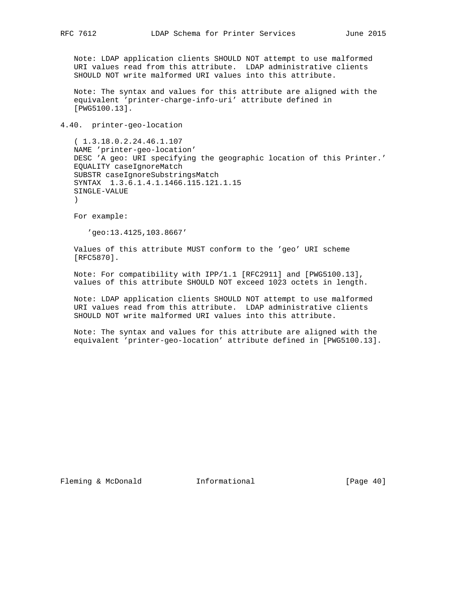Note: LDAP application clients SHOULD NOT attempt to use malformed URI values read from this attribute. LDAP administrative clients SHOULD NOT write malformed URI values into this attribute.

 Note: The syntax and values for this attribute are aligned with the equivalent 'printer-charge-info-uri' attribute defined in [PWG5100.13].

4.40. printer-geo-location

 ( 1.3.18.0.2.24.46.1.107 NAME 'printer-geo-location' DESC 'A geo: URI specifying the geographic location of this Printer.' EQUALITY caseIgnoreMatch SUBSTR caseIgnoreSubstringsMatch SYNTAX 1.3.6.1.4.1.1466.115.121.1.15 SINGLE-VALUE  $\lambda$ 

For example:

'geo:13.4125,103.8667'

 Values of this attribute MUST conform to the 'geo' URI scheme [RFC5870].

 Note: For compatibility with IPP/1.1 [RFC2911] and [PWG5100.13], values of this attribute SHOULD NOT exceed 1023 octets in length.

 Note: LDAP application clients SHOULD NOT attempt to use malformed URI values read from this attribute. LDAP administrative clients SHOULD NOT write malformed URI values into this attribute.

 Note: The syntax and values for this attribute are aligned with the equivalent 'printer-geo-location' attribute defined in [PWG5100.13].

Fleming & McDonald **Informational** [Page 40]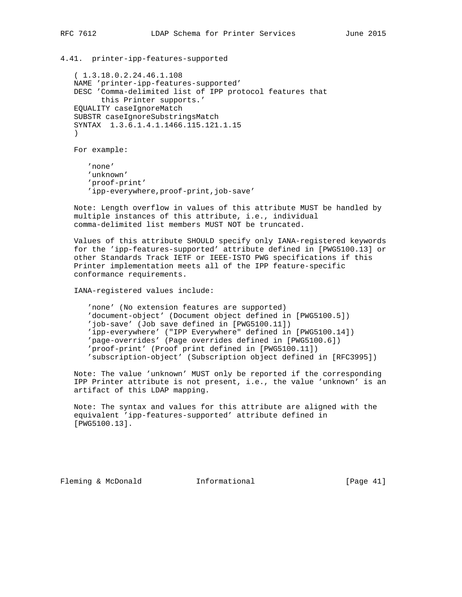4.41. printer-ipp-features-supported

 ( 1.3.18.0.2.24.46.1.108 NAME 'printer-ipp-features-supported' DESC 'Comma-delimited list of IPP protocol features that this Printer supports.' EQUALITY caseIgnoreMatch SUBSTR caseIgnoreSubstringsMatch SYNTAX 1.3.6.1.4.1.1466.115.121.1.15  $\lambda$ 

For example:

 'none' 'unknown' 'proof-print' 'ipp-everywhere,proof-print,job-save'

 Note: Length overflow in values of this attribute MUST be handled by multiple instances of this attribute, i.e., individual comma-delimited list members MUST NOT be truncated.

 Values of this attribute SHOULD specify only IANA-registered keywords for the 'ipp-features-supported' attribute defined in [PWG5100.13] or other Standards Track IETF or IEEE-ISTO PWG specifications if this Printer implementation meets all of the IPP feature-specific conformance requirements.

IANA-registered values include:

 'none' (No extension features are supported) 'document-object' (Document object defined in [PWG5100.5]) 'job-save' (Job save defined in [PWG5100.11]) 'ipp-everywhere' ("IPP Everywhere" defined in [PWG5100.14]) 'page-overrides' (Page overrides defined in [PWG5100.6]) 'proof-print' (Proof print defined in [PWG5100.11]) 'subscription-object' (Subscription object defined in [RFC3995])

 Note: The value 'unknown' MUST only be reported if the corresponding IPP Printer attribute is not present, i.e., the value 'unknown' is an artifact of this LDAP mapping.

 Note: The syntax and values for this attribute are aligned with the equivalent 'ipp-features-supported' attribute defined in [PWG5100.13].

Fleming & McDonald **Informational** [Page 41]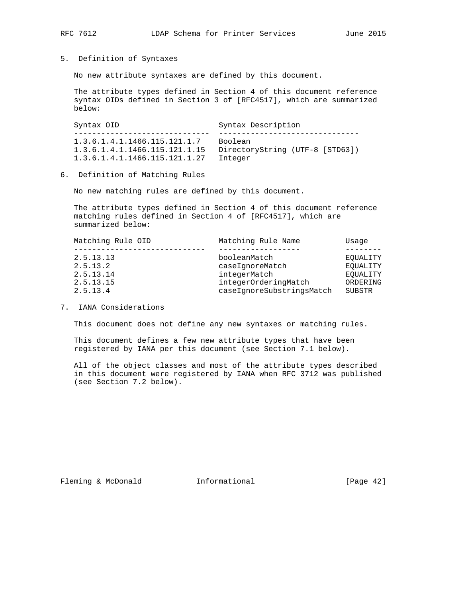5. Definition of Syntaxes

No new attribute syntaxes are defined by this document.

 The attribute types defined in Section 4 of this document reference syntax OIDs defined in Section 3 of [RFC4517], which are summarized below:

Syntax OID Syntax Description ------------------------------ ------------------------------- 1.3.6.1.4.1.1466.115.121.1.7 Boolean 1.3.6.1.4.1.1466.115.121.1.15 DirectoryString (UTF-8 [STD63]) 1.3.6.1.4.1.1466.115.121.1.27 Integer

6. Definition of Matching Rules

No new matching rules are defined by this document.

 The attribute types defined in Section 4 of this document reference matching rules defined in Section 4 of [RFC4517], which are summarized below:

| Matching Rule OID | Matching Rule Name        | Usage    |
|-------------------|---------------------------|----------|
|                   |                           |          |
| 2.5.13.13         | booleanMatch              | EOUALITY |
| 2.5.13.2          | caseIqnoreMatch           | EOUALITY |
| 2.5.13.14         | integerMatch              | EOUALITY |
| 2.5.13.15         | integerOrderingMatch      | ORDERING |
| 2.5.13.4          | caseIgnoreSubstringsMatch | SUBSTR   |

7. IANA Considerations

This document does not define any new syntaxes or matching rules.

 This document defines a few new attribute types that have been registered by IANA per this document (see Section 7.1 below).

 All of the object classes and most of the attribute types described in this document were registered by IANA when RFC 3712 was published (see Section 7.2 below).

Fleming & McDonald **Informational** [Page 42]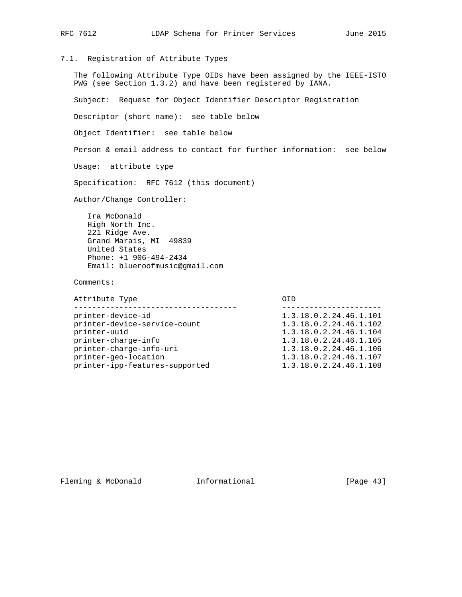## 7.1. Registration of Attribute Types

 The following Attribute Type OIDs have been assigned by the IEEE-ISTO PWG (see Section 1.3.2) and have been registered by IANA.

Subject: Request for Object Identifier Descriptor Registration

Descriptor (short name): see table below

Object Identifier: see table below

Person & email address to contact for further information: see below

Usage: attribute type

Specification: RFC 7612 (this document)

Author/Change Controller:

 Ira McDonald High North Inc. 221 Ridge Ave. Grand Marais, MI 49839 United States Phone: +1 906-494-2434 Email: blueroofmusic@gmail.com

Comments:

| Attribute Type                 |                        |
|--------------------------------|------------------------|
|                                |                        |
| printer-device-id              | 1.3.18.0.2.24.46.1.101 |
| printer-device-service-count   | 1.3.18.0.2.24.46.1.102 |
| printer-uuid                   | 1.3.18.0.2.24.46.1.104 |
| printer-charge-info            | 1.3.18.0.2.24.46.1.105 |
| printer-charge-info-uri        | 1.3.18.0.2.24.46.1.106 |
| printer-geo-location           | 1.3.18.0.2.24.46.1.107 |
| printer-ipp-features-supported | 1.3.18.0.2.24.46.1.108 |
|                                |                        |

Fleming & McDonald **Informational** [Page 43]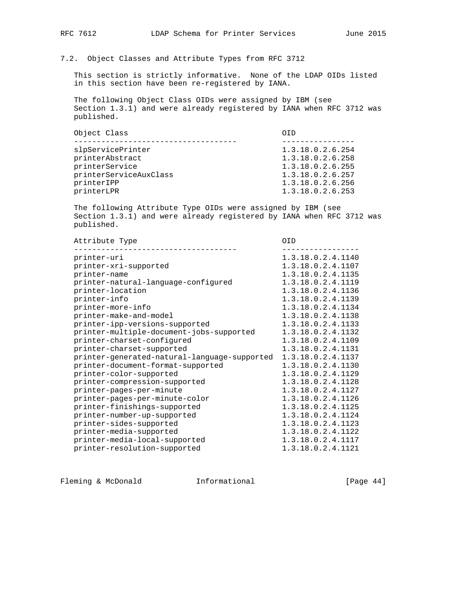## 7.2. Object Classes and Attribute Types from RFC 3712

 This section is strictly informative. None of the LDAP OIDs listed in this section have been re-registered by IANA.

 The following Object Class OIDs were assigned by IBM (see Section 1.3.1) and were already registered by IANA when RFC 3712 was published.

| Object Class           | OTD              |
|------------------------|------------------|
|                        |                  |
| slpServicePrinter      | 1.3.18.0.2.6.254 |
| printerAbstract        | 1.3.18.0.2.6.258 |
| printerService         | 1.3.18.0.2.6.255 |
| printerServiceAuxClass | 1.3.18.0.2.6.257 |
| printerIPP             | 1.3.18.0.2.6.256 |
| printerLPR             | 1.3.18.0.2.6.253 |

 The following Attribute Type OIDs were assigned by IBM (see Section 1.3.1) and were already registered by IANA when RFC 3712 was published.

| Attribute Type                               | OID               |
|----------------------------------------------|-------------------|
| printer-uri                                  | 1.3.18.0.2.4.1140 |
| printer-xri-supported                        | 1.3.18.0.2.4.1107 |
| printer-name                                 | 1.3.18.0.2.4.1135 |
| printer-natural-language-configured          | 1.3.18.0.2.4.1119 |
| printer-location                             | 1.3.18.0.2.4.1136 |
| printer-info                                 | 1.3.18.0.2.4.1139 |
| printer-more-info                            | 1.3.18.0.2.4.1134 |
| printer-make-and-model                       | 1.3.18.0.2.4.1138 |
| printer-ipp-versions-supported               | 1.3.18.0.2.4.1133 |
| printer-multiple-document-jobs-supported     | 1.3.18.0.2.4.1132 |
| printer-charset-configured                   | 1.3.18.0.2.4.1109 |
| printer-charset-supported                    | 1.3.18.0.2.4.1131 |
| printer-generated-natural-language-supported | 1.3.18.0.2.4.1137 |
| printer-document-format-supported            | 1.3.18.0.2.4.1130 |
| printer-color-supported                      | 1.3.18.0.2.4.1129 |
| printer-compression-supported                | 1.3.18.0.2.4.1128 |
| printer-pages-per-minute                     | 1.3.18.0.2.4.1127 |
| printer-pages-per-minute-color               | 1.3.18.0.2.4.1126 |
| printer-finishings-supported                 | 1.3.18.0.2.4.1125 |
| printer-number-up-supported                  | 1.3.18.0.2.4.1124 |
| printer-sides-supported                      | 1.3.18.0.2.4.1123 |
| printer-media-supported                      | 1.3.18.0.2.4.1122 |
| printer-media-local-supported                | 1.3.18.0.2.4.1117 |
| printer-resolution-supported                 | 1.3.18.0.2.4.1121 |

Fleming & McDonald **Informational** [Page 44]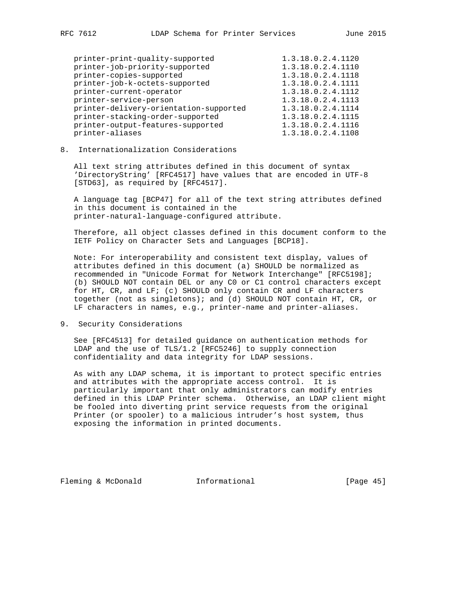| printer-print-quality-supported        | 1.3.18.0.2.4.1120 |
|----------------------------------------|-------------------|
| printer-job-priority-supported         | 1.3.18.0.2.4.1110 |
| printer-copies-supported               | 1.3.18.0.2.4.1118 |
| printer-job-k-octets-supported         | 1.3.18.0.2.4.1111 |
| printer-current-operator               | 1.3.18.0.2.4.1112 |
| printer-service-person                 | 1.3.18.0.2.4.1113 |
| printer-delivery-orientation-supported | 1.3.18.0.2.4.1114 |
| printer-stacking-order-supported       | 1.3.18.0.2.4.1115 |
| printer-output-features-supported      | 1.3.18.0.2.4.1116 |
| printer-aliases                        | 1.3.18.0.2.4.1108 |
|                                        |                   |

## 8. Internationalization Considerations

 All text string attributes defined in this document of syntax 'DirectoryString' [RFC4517] have values that are encoded in UTF-8 [STD63], as required by [RFC4517].

 A language tag [BCP47] for all of the text string attributes defined in this document is contained in the printer-natural-language-configured attribute.

 Therefore, all object classes defined in this document conform to the IETF Policy on Character Sets and Languages [BCP18].

 Note: For interoperability and consistent text display, values of attributes defined in this document (a) SHOULD be normalized as recommended in "Unicode Format for Network Interchange" [RFC5198]; (b) SHOULD NOT contain DEL or any C0 or C1 control characters except for HT, CR, and LF; (c) SHOULD only contain CR and LF characters together (not as singletons); and (d) SHOULD NOT contain HT, CR, or LF characters in names, e.g., printer-name and printer-aliases.

9. Security Considerations

 See [RFC4513] for detailed guidance on authentication methods for LDAP and the use of TLS/1.2 [RFC5246] to supply connection confidentiality and data integrity for LDAP sessions.

 As with any LDAP schema, it is important to protect specific entries and attributes with the appropriate access control. It is particularly important that only administrators can modify entries defined in this LDAP Printer schema. Otherwise, an LDAP client might be fooled into diverting print service requests from the original Printer (or spooler) to a malicious intruder's host system, thus exposing the information in printed documents.

Fleming & McDonald **Informational** [Page 45]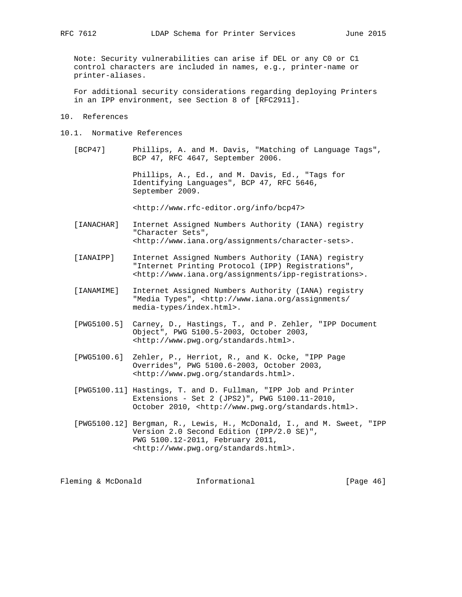Note: Security vulnerabilities can arise if DEL or any C0 or C1 control characters are included in names, e.g., printer-name or printer-aliases.

 For additional security considerations regarding deploying Printers in an IPP environment, see Section 8 of [RFC2911].

- 10. References
- 10.1. Normative References

 [BCP47] Phillips, A. and M. Davis, "Matching of Language Tags", BCP 47, RFC 4647, September 2006.

> Phillips, A., Ed., and M. Davis, Ed., "Tags for Identifying Languages", BCP 47, RFC 5646, September 2009.

<http://www.rfc-editor.org/info/bcp47>

- [IANACHAR] Internet Assigned Numbers Authority (IANA) registry "Character Sets", <http://www.iana.org/assignments/character-sets>.
- [IANAIPP] Internet Assigned Numbers Authority (IANA) registry "Internet Printing Protocol (IPP) Registrations", <http://www.iana.org/assignments/ipp-registrations>.
- [IANAMIME] Internet Assigned Numbers Authority (IANA) registry "Media Types", <http://www.iana.org/assignments/ media-types/index.html>.
- [PWG5100.5] Carney, D., Hastings, T., and P. Zehler, "IPP Document Object", PWG 5100.5-2003, October 2003, <http://www.pwg.org/standards.html>.
- [PWG5100.6] Zehler, P., Herriot, R., and K. Ocke, "IPP Page Overrides", PWG 5100.6-2003, October 2003, <http://www.pwg.org/standards.html>.
- [PWG5100.11] Hastings, T. and D. Fullman, "IPP Job and Printer Extensions - Set 2 (JPS2)", PWG 5100.11-2010, October 2010, <http://www.pwg.org/standards.html>.
- [PWG5100.12] Bergman, R., Lewis, H., McDonald, I., and M. Sweet, "IPP Version 2.0 Second Edition (IPP/2.0 SE)", PWG 5100.12-2011, February 2011, <http://www.pwg.org/standards.html>.

Fleming & McDonald **Informational** [Page 46]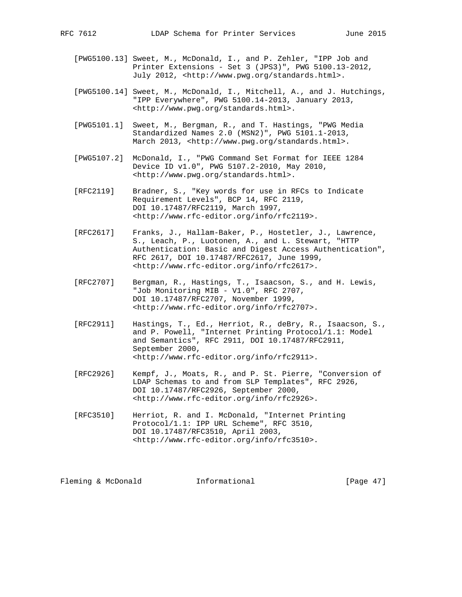- [PWG5100.13] Sweet, M., McDonald, I., and P. Zehler, "IPP Job and Printer Extensions - Set 3 (JPS3)", PWG 5100.13-2012, July 2012, <http://www.pwg.org/standards.html>.
- [PWG5100.14] Sweet, M., McDonald, I., Mitchell, A., and J. Hutchings, "IPP Everywhere", PWG 5100.14-2013, January 2013, <http://www.pwg.org/standards.html>.
- [PWG5101.1] Sweet, M., Bergman, R., and T. Hastings, "PWG Media Standardized Names 2.0 (MSN2)", PWG 5101.1-2013, March 2013, <http://www.pwg.org/standards.html>.
- [PWG5107.2] McDonald, I., "PWG Command Set Format for IEEE 1284 Device ID v1.0", PWG 5107.2-2010, May 2010, <http://www.pwg.org/standards.html>.
- [RFC2119] Bradner, S., "Key words for use in RFCs to Indicate Requirement Levels", BCP 14, RFC 2119, DOI 10.17487/RFC2119, March 1997, <http://www.rfc-editor.org/info/rfc2119>.
- [RFC2617] Franks, J., Hallam-Baker, P., Hostetler, J., Lawrence, S., Leach, P., Luotonen, A., and L. Stewart, "HTTP Authentication: Basic and Digest Access Authentication", RFC 2617, DOI 10.17487/RFC2617, June 1999, <http://www.rfc-editor.org/info/rfc2617>.
- [RFC2707] Bergman, R., Hastings, T., Isaacson, S., and H. Lewis, "Job Monitoring MIB - V1.0", RFC 2707, DOI 10.17487/RFC2707, November 1999, <http://www.rfc-editor.org/info/rfc2707>.
- [RFC2911] Hastings, T., Ed., Herriot, R., deBry, R., Isaacson, S., and P. Powell, "Internet Printing Protocol/1.1: Model and Semantics", RFC 2911, DOI 10.17487/RFC2911, September 2000, <http://www.rfc-editor.org/info/rfc2911>.
- [RFC2926] Kempf, J., Moats, R., and P. St. Pierre, "Conversion of LDAP Schemas to and from SLP Templates", RFC 2926, DOI 10.17487/RFC2926, September 2000, <http://www.rfc-editor.org/info/rfc2926>.
- [RFC3510] Herriot, R. and I. McDonald, "Internet Printing Protocol/1.1: IPP URL Scheme", RFC 3510, DOI 10.17487/RFC3510, April 2003, <http://www.rfc-editor.org/info/rfc3510>.

Fleming & McDonald **Informational** [Page 47]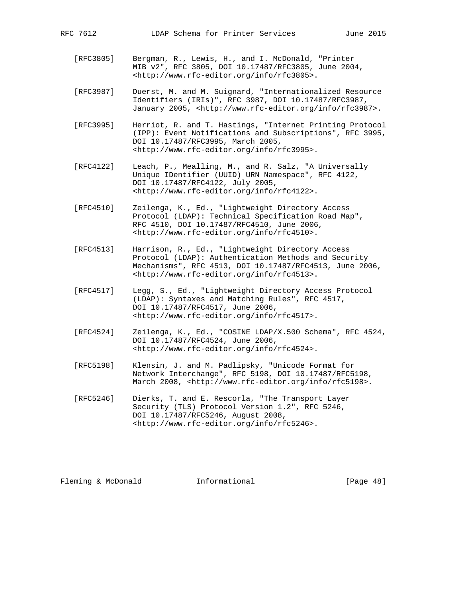- [RFC3805] Bergman, R., Lewis, H., and I. McDonald, "Printer MIB v2", RFC 3805, DOI 10.17487/RFC3805, June 2004, <http://www.rfc-editor.org/info/rfc3805>.
- [RFC3987] Duerst, M. and M. Suignard, "Internationalized Resource Identifiers (IRIs)", RFC 3987, DOI 10.17487/RFC3987, January 2005, <http://www.rfc-editor.org/info/rfc3987>.
- [RFC3995] Herriot, R. and T. Hastings, "Internet Printing Protocol (IPP): Event Notifications and Subscriptions", RFC 3995, DOI 10.17487/RFC3995, March 2005, <http://www.rfc-editor.org/info/rfc3995>.
- [RFC4122] Leach, P., Mealling, M., and R. Salz, "A Universally Unique IDentifier (UUID) URN Namespace", RFC 4122, DOI 10.17487/RFC4122, July 2005, <http://www.rfc-editor.org/info/rfc4122>.
- [RFC4510] Zeilenga, K., Ed., "Lightweight Directory Access Protocol (LDAP): Technical Specification Road Map", RFC 4510, DOI 10.17487/RFC4510, June 2006, <http://www.rfc-editor.org/info/rfc4510>.
- [RFC4513] Harrison, R., Ed., "Lightweight Directory Access Protocol (LDAP): Authentication Methods and Security Mechanisms", RFC 4513, DOI 10.17487/RFC4513, June 2006, <http://www.rfc-editor.org/info/rfc4513>.
- [RFC4517] Legg, S., Ed., "Lightweight Directory Access Protocol (LDAP): Syntaxes and Matching Rules", RFC 4517, DOI 10.17487/RFC4517, June 2006, <http://www.rfc-editor.org/info/rfc4517>.
- [RFC4524] Zeilenga, K., Ed., "COSINE LDAP/X.500 Schema", RFC 4524, DOI 10.17487/RFC4524, June 2006, <http://www.rfc-editor.org/info/rfc4524>.
- [RFC5198] Klensin, J. and M. Padlipsky, "Unicode Format for Network Interchange", RFC 5198, DOI 10.17487/RFC5198, March 2008, <http://www.rfc-editor.org/info/rfc5198>.
- [RFC5246] Dierks, T. and E. Rescorla, "The Transport Layer Security (TLS) Protocol Version 1.2", RFC 5246, DOI 10.17487/RFC5246, August 2008, <http://www.rfc-editor.org/info/rfc5246>.

Fleming & McDonald **Informational** [Page 48]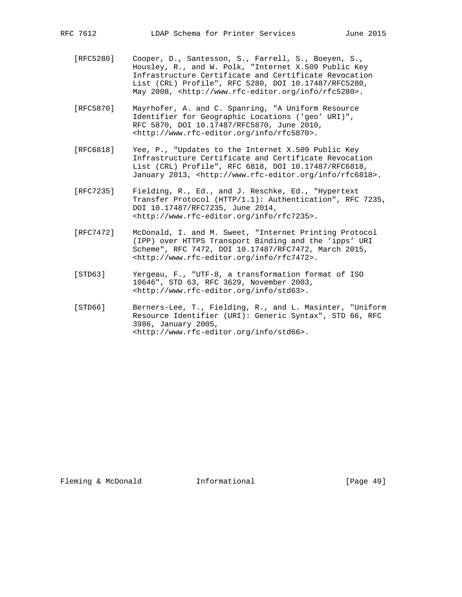- [RFC5280] Cooper, D., Santesson, S., Farrell, S., Boeyen, S., Housley, R., and W. Polk, "Internet X.509 Public Key Infrastructure Certificate and Certificate Revocation List (CRL) Profile", RFC 5280, DOI 10.17487/RFC5280, May 2008, <http://www.rfc-editor.org/info/rfc5280>.
- [RFC5870] Mayrhofer, A. and C. Spanring, "A Uniform Resource Identifier for Geographic Locations ('geo' URI)", RFC 5870, DOI 10.17487/RFC5870, June 2010, <http://www.rfc-editor.org/info/rfc5870>.
- [RFC6818] Yee, P., "Updates to the Internet X.509 Public Key Infrastructure Certificate and Certificate Revocation List (CRL) Profile", RFC 6818, DOI 10.17487/RFC6818, January 2013, <http://www.rfc-editor.org/info/rfc6818>.
- [RFC7235] Fielding, R., Ed., and J. Reschke, Ed., "Hypertext Transfer Protocol (HTTP/1.1): Authentication", RFC 7235, DOI 10.17487/RFC7235, June 2014, <http://www.rfc-editor.org/info/rfc7235>.
- [RFC7472] McDonald, I. and M. Sweet, "Internet Printing Protocol (IPP) over HTTPS Transport Binding and the 'ipps' URI Scheme", RFC 7472, DOI 10.17487/RFC7472, March 2015, <http://www.rfc-editor.org/info/rfc7472>.
- [STD63] Yergeau, F., "UTF-8, a transformation format of ISO 10646", STD 63, RFC 3629, November 2003, <http://www.rfc-editor.org/info/std63>.
- [STD66] Berners-Lee, T., Fielding, R., and L. Masinter, "Uniform Resource Identifier (URI): Generic Syntax", STD 66, RFC 3986, January 2005, <http://www.rfc-editor.org/info/std66>.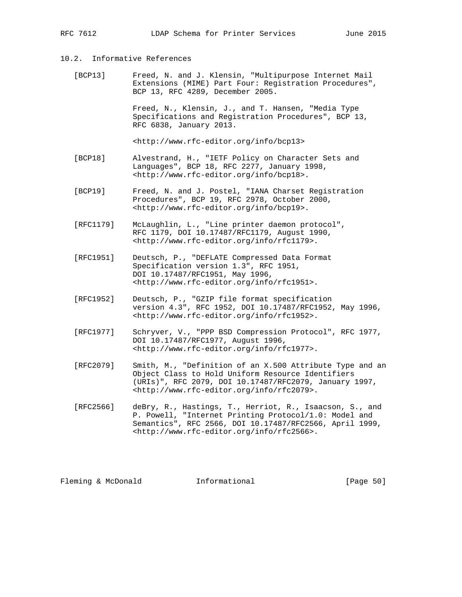## 10.2. Informative References

 [BCP13] Freed, N. and J. Klensin, "Multipurpose Internet Mail Extensions (MIME) Part Four: Registration Procedures", BCP 13, RFC 4289, December 2005.

> Freed, N., Klensin, J., and T. Hansen, "Media Type Specifications and Registration Procedures", BCP 13, RFC 6838, January 2013.

<http://www.rfc-editor.org/info/bcp13>

- [BCP18] Alvestrand, H., "IETF Policy on Character Sets and Languages", BCP 18, RFC 2277, January 1998, <http://www.rfc-editor.org/info/bcp18>.
- [BCP19] Freed, N. and J. Postel, "IANA Charset Registration Procedures", BCP 19, RFC 2978, October 2000, <http://www.rfc-editor.org/info/bcp19>.
- [RFC1179] McLaughlin, L., "Line printer daemon protocol", RFC 1179, DOI 10.17487/RFC1179, August 1990, <http://www.rfc-editor.org/info/rfc1179>.
- [RFC1951] Deutsch, P., "DEFLATE Compressed Data Format Specification version 1.3", RFC 1951, DOI 10.17487/RFC1951, May 1996, <http://www.rfc-editor.org/info/rfc1951>.
- [RFC1952] Deutsch, P., "GZIP file format specification version 4.3", RFC 1952, DOI 10.17487/RFC1952, May 1996, <http://www.rfc-editor.org/info/rfc1952>.
- [RFC1977] Schryver, V., "PPP BSD Compression Protocol", RFC 1977, DOI 10.17487/RFC1977, August 1996, <http://www.rfc-editor.org/info/rfc1977>.
- [RFC2079] Smith, M., "Definition of an X.500 Attribute Type and an Object Class to Hold Uniform Resource Identifiers (URIs)", RFC 2079, DOI 10.17487/RFC2079, January 1997, <http://www.rfc-editor.org/info/rfc2079>.
- [RFC2566] deBry, R., Hastings, T., Herriot, R., Isaacson, S., and P. Powell, "Internet Printing Protocol/1.0: Model and Semantics", RFC 2566, DOI 10.17487/RFC2566, April 1999, <http://www.rfc-editor.org/info/rfc2566>.

Fleming & McDonald **Informational** [Page 50]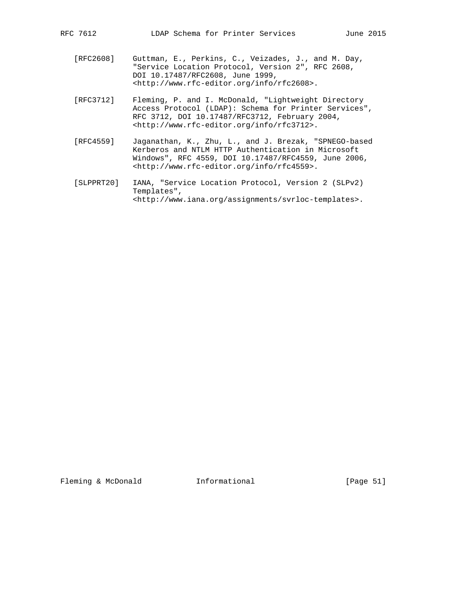- [RFC2608] Guttman, E., Perkins, C., Veizades, J., and M. Day, "Service Location Protocol, Version 2", RFC 2608, DOI 10.17487/RFC2608, June 1999, <http://www.rfc-editor.org/info/rfc2608>.
- [RFC3712] Fleming, P. and I. McDonald, "Lightweight Directory Access Protocol (LDAP): Schema for Printer Services", RFC 3712, DOI 10.17487/RFC3712, February 2004, <http://www.rfc-editor.org/info/rfc3712>.
- [RFC4559] Jaganathan, K., Zhu, L., and J. Brezak, "SPNEGO-based Kerberos and NTLM HTTP Authentication in Microsoft Windows", RFC 4559, DOI 10.17487/RFC4559, June 2006, <http://www.rfc-editor.org/info/rfc4559>.
- [SLPPRT20] IANA, "Service Location Protocol, Version 2 (SLPv2) Templates", <http://www.iana.org/assignments/svrloc-templates>.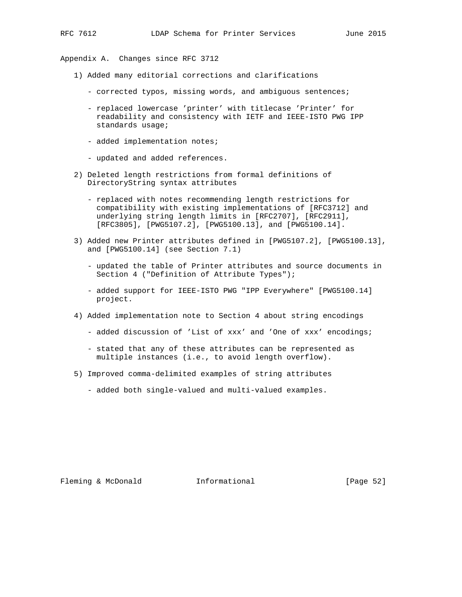Appendix A. Changes since RFC 3712

- 1) Added many editorial corrections and clarifications
	- corrected typos, missing words, and ambiguous sentences;
	- replaced lowercase 'printer' with titlecase 'Printer' for readability and consistency with IETF and IEEE-ISTO PWG IPP standards usage;
	- added implementation notes;
	- updated and added references.
- 2) Deleted length restrictions from formal definitions of DirectoryString syntax attributes
	- replaced with notes recommending length restrictions for compatibility with existing implementations of [RFC3712] and underlying string length limits in [RFC2707], [RFC2911], [RFC3805], [PWG5107.2], [PWG5100.13], and [PWG5100.14].
- 3) Added new Printer attributes defined in [PWG5107.2], [PWG5100.13], and [PWG5100.14] (see Section 7.1)
	- updated the table of Printer attributes and source documents in Section 4 ("Definition of Attribute Types");
	- added support for IEEE-ISTO PWG "IPP Everywhere" [PWG5100.14] project.
- 4) Added implementation note to Section 4 about string encodings
	- added discussion of 'List of xxx' and 'One of xxx' encodings;
	- stated that any of these attributes can be represented as multiple instances (i.e., to avoid length overflow).
- 5) Improved comma-delimited examples of string attributes
	- added both single-valued and multi-valued examples.

Fleming & McDonald **Informational** [Page 52]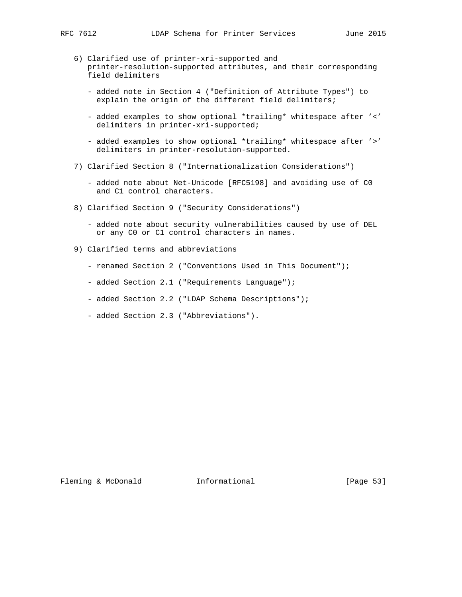- 6) Clarified use of printer-xri-supported and printer-resolution-supported attributes, and their corresponding field delimiters
	- added note in Section 4 ("Definition of Attribute Types") to explain the origin of the different field delimiters;
	- added examples to show optional \*trailing\* whitespace after '<' delimiters in printer-xri-supported;
	- added examples to show optional \*trailing\* whitespace after '>' delimiters in printer-resolution-supported.
- 7) Clarified Section 8 ("Internationalization Considerations")
	- added note about Net-Unicode [RFC5198] and avoiding use of C0 and C1 control characters.
- 8) Clarified Section 9 ("Security Considerations")
	- added note about security vulnerabilities caused by use of DEL or any C0 or C1 control characters in names.
- 9) Clarified terms and abbreviations
	- renamed Section 2 ("Conventions Used in This Document");
	- added Section 2.1 ("Requirements Language");
	- added Section 2.2 ("LDAP Schema Descriptions");
	- added Section 2.3 ("Abbreviations").